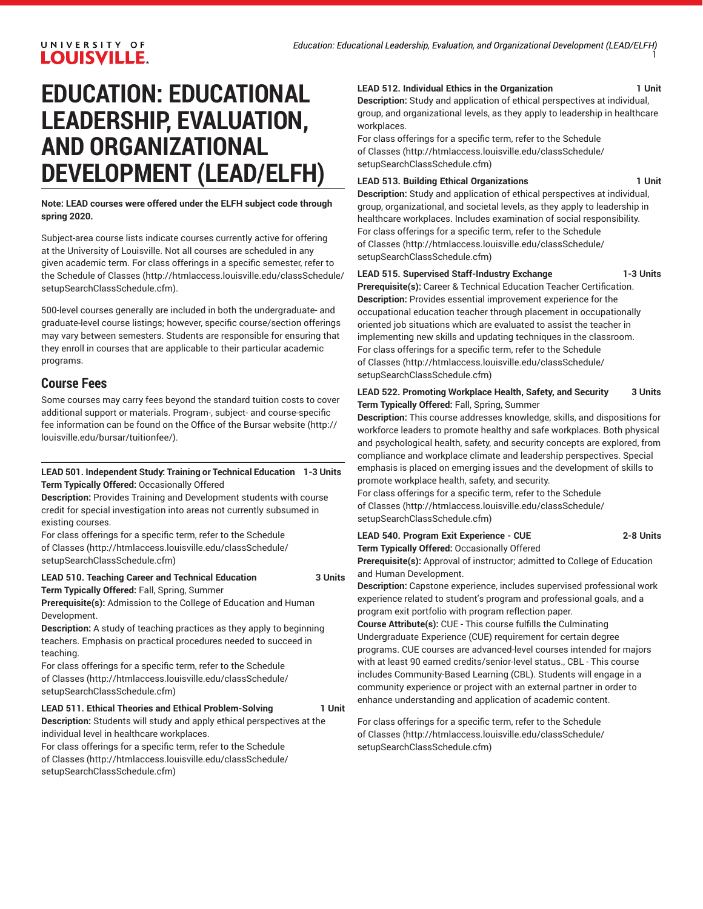# **EDUCATION: EDUCATIONAL LEADERSHIP, EVALUATION, AND ORGANIZATIONAL DEVELOPMENT (LEAD/ELFH)**

**Note: LEAD courses were offered under the ELFH subject code through spring 2020.**

Subject-area course lists indicate courses currently active for offering at the University of Louisville. Not all courses are scheduled in any given academic term. For class offerings in a specific semester, refer to the [Schedule of Classes](http://htmlaccess.louisville.edu/classSchedule/setupSearchClassSchedule.cfm) ([http://htmlaccess.louisville.edu/classSchedule/](http://htmlaccess.louisville.edu/classSchedule/setupSearchClassSchedule.cfm) [setupSearchClassSchedule.cfm\)](http://htmlaccess.louisville.edu/classSchedule/setupSearchClassSchedule.cfm).

500-level courses generally are included in both the undergraduate- and graduate-level course listings; however, specific course/section offerings may vary between semesters. Students are responsible for ensuring that they enroll in courses that are applicable to their particular academic programs.

## **Course Fees**

Some courses may carry fees beyond the standard tuition costs to cover additional support or materials. Program-, subject- and course-specific fee information can be found on the [Office of the Bursar website](http://louisville.edu/bursar/tuitionfee/) ([http://](http://louisville.edu/bursar/tuitionfee/) [louisville.edu/bursar/tuitionfee/](http://louisville.edu/bursar/tuitionfee/)).

#### **LEAD 501. Independent Study: Training or Technical Education 1-3 Units Term Typically Offered:** Occasionally Offered

**Description:** Provides Training and Development students with course credit for special investigation into areas not currently subsumed in existing courses.

For class offerings for a specific term, refer to the [Schedule](http://htmlaccess.louisville.edu/classSchedule/setupSearchClassSchedule.cfm) [of Classes \(http://htmlaccess.louisville.edu/classSchedule/](http://htmlaccess.louisville.edu/classSchedule/setupSearchClassSchedule.cfm) [setupSearchClassSchedule.cfm\)](http://htmlaccess.louisville.edu/classSchedule/setupSearchClassSchedule.cfm)

### **LEAD 510. Teaching Career and Technical Education 3 Units**

**Term Typically Offered:** Fall, Spring, Summer **Prerequisite(s):** Admission to the College of Education and Human

Development.

**Description:** A study of teaching practices as they apply to beginning teachers. Emphasis on practical procedures needed to succeed in teaching.

For class offerings for a specific term, refer to the [Schedule](http://htmlaccess.louisville.edu/classSchedule/setupSearchClassSchedule.cfm) [of Classes \(http://htmlaccess.louisville.edu/classSchedule/](http://htmlaccess.louisville.edu/classSchedule/setupSearchClassSchedule.cfm) [setupSearchClassSchedule.cfm\)](http://htmlaccess.louisville.edu/classSchedule/setupSearchClassSchedule.cfm)

#### LEAD 511. Ethical Theories and Ethical Problem-Solving 1 Unit

**Description:** Students will study and apply ethical perspectives at the individual level in healthcare workplaces.

For class offerings for a specific term, refer to the [Schedule](http://htmlaccess.louisville.edu/classSchedule/setupSearchClassSchedule.cfm) [of Classes \(http://htmlaccess.louisville.edu/classSchedule/](http://htmlaccess.louisville.edu/classSchedule/setupSearchClassSchedule.cfm) [setupSearchClassSchedule.cfm\)](http://htmlaccess.louisville.edu/classSchedule/setupSearchClassSchedule.cfm)

#### LEAD 512. Individual Ethics in the Organization **1** Unit

**Description:** Study and application of ethical perspectives at individual, group, and organizational levels, as they apply to leadership in healthcare workplaces.

For class offerings for a specific term, refer to the [Schedule](http://htmlaccess.louisville.edu/classSchedule/setupSearchClassSchedule.cfm) [of Classes](http://htmlaccess.louisville.edu/classSchedule/setupSearchClassSchedule.cfm) ([http://htmlaccess.louisville.edu/classSchedule/](http://htmlaccess.louisville.edu/classSchedule/setupSearchClassSchedule.cfm) [setupSearchClassSchedule.cfm\)](http://htmlaccess.louisville.edu/classSchedule/setupSearchClassSchedule.cfm)

#### LEAD 513. Building Ethical Organizations **1 Unit**

**Description:** Study and application of ethical perspectives at individual, group, organizational, and societal levels, as they apply to leadership in healthcare workplaces. Includes examination of social responsibility. For class offerings for a specific term, refer to the [Schedule](http://htmlaccess.louisville.edu/classSchedule/setupSearchClassSchedule.cfm) [of Classes](http://htmlaccess.louisville.edu/classSchedule/setupSearchClassSchedule.cfm) ([http://htmlaccess.louisville.edu/classSchedule/](http://htmlaccess.louisville.edu/classSchedule/setupSearchClassSchedule.cfm) [setupSearchClassSchedule.cfm\)](http://htmlaccess.louisville.edu/classSchedule/setupSearchClassSchedule.cfm)

#### **LEAD 515. Supervised Staff-Industry Exchange 1-3 Units**

**Prerequisite(s):** Career & Technical Education Teacher Certification. **Description:** Provides essential improvement experience for the occupational education teacher through placement in occupationally oriented job situations which are evaluated to assist the teacher in implementing new skills and updating techniques in the classroom. For class offerings for a specific term, refer to the [Schedule](http://htmlaccess.louisville.edu/classSchedule/setupSearchClassSchedule.cfm) [of Classes](http://htmlaccess.louisville.edu/classSchedule/setupSearchClassSchedule.cfm) ([http://htmlaccess.louisville.edu/classSchedule/](http://htmlaccess.louisville.edu/classSchedule/setupSearchClassSchedule.cfm) [setupSearchClassSchedule.cfm\)](http://htmlaccess.louisville.edu/classSchedule/setupSearchClassSchedule.cfm)

#### **LEAD 522. Promoting Workplace Health, Safety, and Security 3 Units Term Typically Offered:** Fall, Spring, Summer

**Description:** This course addresses knowledge, skills, and dispositions for workforce leaders to promote healthy and safe workplaces. Both physical and psychological health, safety, and security concepts are explored, from compliance and workplace climate and leadership perspectives. Special emphasis is placed on emerging issues and the development of skills to promote workplace health, safety, and security.

For class offerings for a specific term, refer to the [Schedule](http://htmlaccess.louisville.edu/classSchedule/setupSearchClassSchedule.cfm) [of Classes](http://htmlaccess.louisville.edu/classSchedule/setupSearchClassSchedule.cfm) ([http://htmlaccess.louisville.edu/classSchedule/](http://htmlaccess.louisville.edu/classSchedule/setupSearchClassSchedule.cfm) [setupSearchClassSchedule.cfm\)](http://htmlaccess.louisville.edu/classSchedule/setupSearchClassSchedule.cfm)

#### **LEAD 540. Program Exit Experience - CUE 2-8 Units Term Typically Offered:** Occasionally Offered

**Prerequisite(s):** Approval of instructor; admitted to College of Education and Human Development.

**Description:** Capstone experience, includes supervised professional work experience related to student's program and professional goals, and a program exit portfolio with program reflection paper.

**Course Attribute(s):** CUE - This course fulfills the Culminating Undergraduate Experience (CUE) requirement for certain degree programs. CUE courses are advanced-level courses intended for majors with at least 90 earned credits/senior-level status., CBL - This course includes Community-Based Learning (CBL). Students will engage in a community experience or project with an external partner in order to enhance understanding and application of academic content.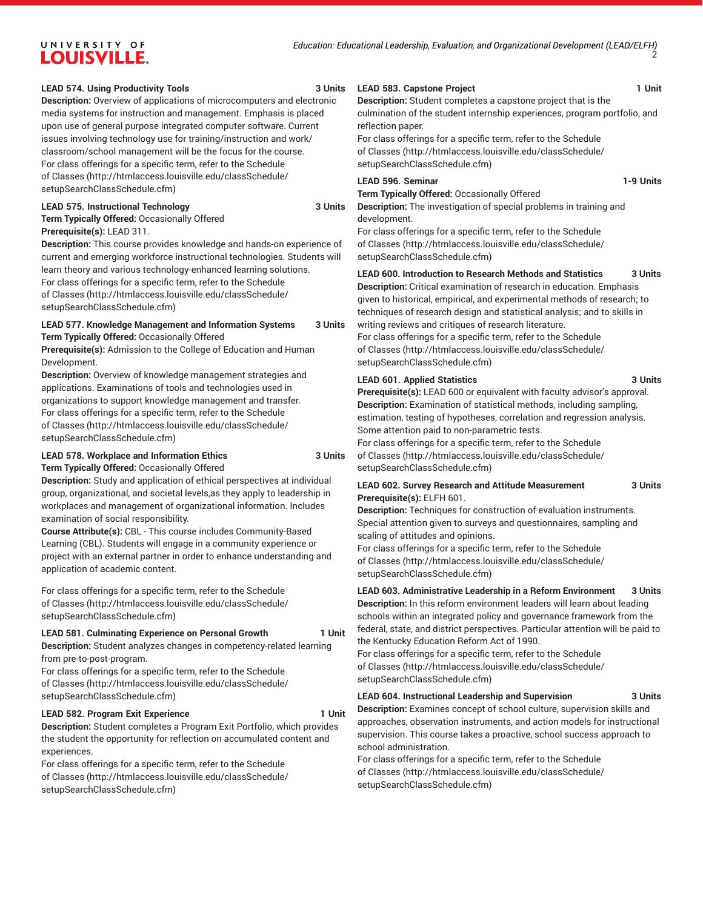#### **LEAD 574. Using Productivity Tools 3 Units**

**Description:** Overview of applications of microcomputers and electronic media systems for instruction and management. Emphasis is placed upon use of general purpose integrated computer software. Current issues involving technology use for training/instruction and work/ classroom/school management will be the focus for the course. For class offerings for a specific term, refer to the [Schedule](http://htmlaccess.louisville.edu/classSchedule/setupSearchClassSchedule.cfm) [of Classes \(http://htmlaccess.louisville.edu/classSchedule/](http://htmlaccess.louisville.edu/classSchedule/setupSearchClassSchedule.cfm) [setupSearchClassSchedule.cfm\)](http://htmlaccess.louisville.edu/classSchedule/setupSearchClassSchedule.cfm)

#### **LEAD 575. Instructional Technology 3 Units**

**Term Typically Offered:** Occasionally Offered

**Prerequisite(s):** LEAD 311.

**Description:** This course provides knowledge and hands-on experience of current and emerging workforce instructional technologies. Students will learn theory and various technology-enhanced learning solutions. For class offerings for a specific term, refer to the [Schedule](http://htmlaccess.louisville.edu/classSchedule/setupSearchClassSchedule.cfm) [of Classes \(http://htmlaccess.louisville.edu/classSchedule/](http://htmlaccess.louisville.edu/classSchedule/setupSearchClassSchedule.cfm) [setupSearchClassSchedule.cfm\)](http://htmlaccess.louisville.edu/classSchedule/setupSearchClassSchedule.cfm)

#### **LEAD 577. Knowledge Management and Information Systems 3 Units Term Typically Offered:** Occasionally Offered

**Prerequisite(s):** Admission to the College of Education and Human Development.

**Description:** Overview of knowledge management strategies and applications. Examinations of tools and technologies used in organizations to support knowledge management and transfer. For class offerings for a specific term, refer to the [Schedule](http://htmlaccess.louisville.edu/classSchedule/setupSearchClassSchedule.cfm) [of Classes \(http://htmlaccess.louisville.edu/classSchedule/](http://htmlaccess.louisville.edu/classSchedule/setupSearchClassSchedule.cfm) [setupSearchClassSchedule.cfm\)](http://htmlaccess.louisville.edu/classSchedule/setupSearchClassSchedule.cfm)

#### **LEAD 578. Workplace and Information Ethics 3 Units Term Typically Offered:** Occasionally Offered

**Description:** Study and application of ethical perspectives at individual group, organizational, and societal levels,as they apply to leadership in workplaces and management of organizational information. Includes examination of social responsibility.

**Course Attribute(s):** CBL - This course includes Community-Based Learning (CBL). Students will engage in a community experience or project with an external partner in order to enhance understanding and application of academic content.

For class offerings for a specific term, refer to the [Schedule](http://htmlaccess.louisville.edu/classSchedule/setupSearchClassSchedule.cfm) [of Classes \(http://htmlaccess.louisville.edu/classSchedule/](http://htmlaccess.louisville.edu/classSchedule/setupSearchClassSchedule.cfm) [setupSearchClassSchedule.cfm\)](http://htmlaccess.louisville.edu/classSchedule/setupSearchClassSchedule.cfm)

#### **LEAD 581. Culminating Experience on Personal Growth 1 Unit**

**Description:** Student analyzes changes in competency-related learning from pre-to-post-program.

For class offerings for a specific term, refer to the [Schedule](http://htmlaccess.louisville.edu/classSchedule/setupSearchClassSchedule.cfm) [of Classes \(http://htmlaccess.louisville.edu/classSchedule/](http://htmlaccess.louisville.edu/classSchedule/setupSearchClassSchedule.cfm) [setupSearchClassSchedule.cfm\)](http://htmlaccess.louisville.edu/classSchedule/setupSearchClassSchedule.cfm)

#### **LEAD 582. Program Exit Experience 1 Unit**

**Description:** Student completes a Program Exit Portfolio, which provides the student the opportunity for reflection on accumulated content and experiences.

For class offerings for a specific term, refer to the [Schedule](http://htmlaccess.louisville.edu/classSchedule/setupSearchClassSchedule.cfm) [of Classes \(http://htmlaccess.louisville.edu/classSchedule/](http://htmlaccess.louisville.edu/classSchedule/setupSearchClassSchedule.cfm) [setupSearchClassSchedule.cfm\)](http://htmlaccess.louisville.edu/classSchedule/setupSearchClassSchedule.cfm)

#### LEAD 583. Capstone Project **1 Unit**

**Description:** Student completes a capstone project that is the culmination of the student internship experiences, program portfolio, and reflection paper.

For class offerings for a specific term, refer to the [Schedule](http://htmlaccess.louisville.edu/classSchedule/setupSearchClassSchedule.cfm) [of Classes](http://htmlaccess.louisville.edu/classSchedule/setupSearchClassSchedule.cfm) ([http://htmlaccess.louisville.edu/classSchedule/](http://htmlaccess.louisville.edu/classSchedule/setupSearchClassSchedule.cfm) [setupSearchClassSchedule.cfm\)](http://htmlaccess.louisville.edu/classSchedule/setupSearchClassSchedule.cfm)

#### LEAD 596. Seminar **1-9 Units**

**Term Typically Offered:** Occasionally Offered

**Description:** The investigation of special problems in training and development.

For class offerings for a specific term, refer to the [Schedule](http://htmlaccess.louisville.edu/classSchedule/setupSearchClassSchedule.cfm) [of Classes](http://htmlaccess.louisville.edu/classSchedule/setupSearchClassSchedule.cfm) ([http://htmlaccess.louisville.edu/classSchedule/](http://htmlaccess.louisville.edu/classSchedule/setupSearchClassSchedule.cfm) [setupSearchClassSchedule.cfm\)](http://htmlaccess.louisville.edu/classSchedule/setupSearchClassSchedule.cfm)

#### **LEAD 600. Introduction to Research Methods and Statistics 3 Units**

**Description:** Critical examination of research in education. Emphasis given to historical, empirical, and experimental methods of research; to techniques of research design and statistical analysis; and to skills in writing reviews and critiques of research literature.

For class offerings for a specific term, refer to the [Schedule](http://htmlaccess.louisville.edu/classSchedule/setupSearchClassSchedule.cfm) [of Classes](http://htmlaccess.louisville.edu/classSchedule/setupSearchClassSchedule.cfm) ([http://htmlaccess.louisville.edu/classSchedule/](http://htmlaccess.louisville.edu/classSchedule/setupSearchClassSchedule.cfm) [setupSearchClassSchedule.cfm\)](http://htmlaccess.louisville.edu/classSchedule/setupSearchClassSchedule.cfm)

#### **LEAD 601. Applied Statistics 3 Units**

**Prerequisite(s):** LEAD 600 or equivalent with faculty advisor's approval. **Description:** Examination of statistical methods, including sampling, estimation, testing of hypotheses, correlation and regression analysis. Some attention paid to non-parametric tests.

For class offerings for a specific term, refer to the [Schedule](http://htmlaccess.louisville.edu/classSchedule/setupSearchClassSchedule.cfm) [of Classes](http://htmlaccess.louisville.edu/classSchedule/setupSearchClassSchedule.cfm) ([http://htmlaccess.louisville.edu/classSchedule/](http://htmlaccess.louisville.edu/classSchedule/setupSearchClassSchedule.cfm) [setupSearchClassSchedule.cfm\)](http://htmlaccess.louisville.edu/classSchedule/setupSearchClassSchedule.cfm)

#### **LEAD 602. Survey Research and Attitude Measurement 3 Units Prerequisite(s):** ELFH 601.

**Description:** Techniques for construction of evaluation instruments. Special attention given to surveys and questionnaires, sampling and scaling of attitudes and opinions.

For class offerings for a specific term, refer to the [Schedule](http://htmlaccess.louisville.edu/classSchedule/setupSearchClassSchedule.cfm) [of Classes](http://htmlaccess.louisville.edu/classSchedule/setupSearchClassSchedule.cfm) ([http://htmlaccess.louisville.edu/classSchedule/](http://htmlaccess.louisville.edu/classSchedule/setupSearchClassSchedule.cfm) [setupSearchClassSchedule.cfm\)](http://htmlaccess.louisville.edu/classSchedule/setupSearchClassSchedule.cfm)

## **LEAD 603. Administrative Leadership in a Reform Environment 3 Units**

**Description:** In this reform environment leaders will learn about leading schools within an integrated policy and governance framework from the federal, state, and district perspectives. Particular attention will be paid to the Kentucky Education Reform Act of 1990.

For class offerings for a specific term, refer to the [Schedule](http://htmlaccess.louisville.edu/classSchedule/setupSearchClassSchedule.cfm) [of Classes](http://htmlaccess.louisville.edu/classSchedule/setupSearchClassSchedule.cfm) ([http://htmlaccess.louisville.edu/classSchedule/](http://htmlaccess.louisville.edu/classSchedule/setupSearchClassSchedule.cfm) [setupSearchClassSchedule.cfm\)](http://htmlaccess.louisville.edu/classSchedule/setupSearchClassSchedule.cfm)

#### **LEAD 604. Instructional Leadership and Supervision 3 Units**

**Description:** Examines concept of school culture, supervision skills and approaches, observation instruments, and action models for instructional supervision. This course takes a proactive, school success approach to school administration.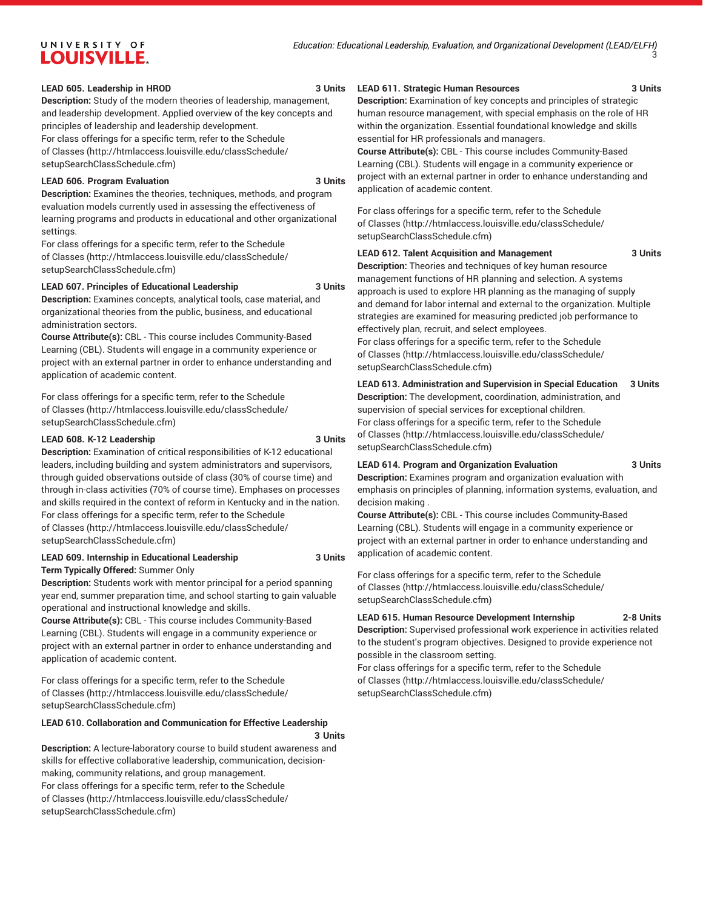#### LEAD 605. Leadership in HROD 3 Units

**Description:** Study of the modern theories of leadership, management, and leadership development. Applied overview of the key concepts and principles of leadership and leadership development.

For class offerings for a specific term, refer to the [Schedule](http://htmlaccess.louisville.edu/classSchedule/setupSearchClassSchedule.cfm) [of Classes \(http://htmlaccess.louisville.edu/classSchedule/](http://htmlaccess.louisville.edu/classSchedule/setupSearchClassSchedule.cfm) [setupSearchClassSchedule.cfm\)](http://htmlaccess.louisville.edu/classSchedule/setupSearchClassSchedule.cfm)

#### **LEAD 606. Program Evaluation 3 Units**

**Description:** Examines the theories, techniques, methods, and program evaluation models currently used in assessing the effectiveness of learning programs and products in educational and other organizational settings.

For class offerings for a specific term, refer to the [Schedule](http://htmlaccess.louisville.edu/classSchedule/setupSearchClassSchedule.cfm) [of Classes \(http://htmlaccess.louisville.edu/classSchedule/](http://htmlaccess.louisville.edu/classSchedule/setupSearchClassSchedule.cfm) [setupSearchClassSchedule.cfm\)](http://htmlaccess.louisville.edu/classSchedule/setupSearchClassSchedule.cfm)

#### **LEAD 607. Principles of Educational Leadership 3 Units**

**Description:** Examines concepts, analytical tools, case material, and organizational theories from the public, business, and educational administration sectors.

**Course Attribute(s):** CBL - This course includes Community-Based Learning (CBL). Students will engage in a community experience or project with an external partner in order to enhance understanding and application of academic content.

For class offerings for a specific term, refer to the [Schedule](http://htmlaccess.louisville.edu/classSchedule/setupSearchClassSchedule.cfm) [of Classes \(http://htmlaccess.louisville.edu/classSchedule/](http://htmlaccess.louisville.edu/classSchedule/setupSearchClassSchedule.cfm) [setupSearchClassSchedule.cfm\)](http://htmlaccess.louisville.edu/classSchedule/setupSearchClassSchedule.cfm)

#### **LEAD 608. K-12 Leadership 3 Units**

**Description:** Examination of critical responsibilities of K-12 educational leaders, including building and system administrators and supervisors, through guided observations outside of class (30% of course time) and through in-class activities (70% of course time). Emphases on processes and skills required in the context of reform in Kentucky and in the nation. For class offerings for a specific term, refer to the [Schedule](http://htmlaccess.louisville.edu/classSchedule/setupSearchClassSchedule.cfm) [of Classes \(http://htmlaccess.louisville.edu/classSchedule/](http://htmlaccess.louisville.edu/classSchedule/setupSearchClassSchedule.cfm) [setupSearchClassSchedule.cfm\)](http://htmlaccess.louisville.edu/classSchedule/setupSearchClassSchedule.cfm)

## **LEAD 609. Internship in Educational Leadership 3 Units**

**Term Typically Offered:** Summer Only **Description:** Students work with mentor principal for a period spanning

year end, summer preparation time, and school starting to gain valuable operational and instructional knowledge and skills.

**Course Attribute(s):** CBL - This course includes Community-Based Learning (CBL). Students will engage in a community experience or project with an external partner in order to enhance understanding and application of academic content.

For class offerings for a specific term, refer to the [Schedule](http://htmlaccess.louisville.edu/classSchedule/setupSearchClassSchedule.cfm) [of Classes \(http://htmlaccess.louisville.edu/classSchedule/](http://htmlaccess.louisville.edu/classSchedule/setupSearchClassSchedule.cfm) [setupSearchClassSchedule.cfm\)](http://htmlaccess.louisville.edu/classSchedule/setupSearchClassSchedule.cfm)

#### **LEAD 610. Collaboration and Communication for Effective Leadership**

**3 Units Description:** A lecture-laboratory course to build student awareness and skills for effective collaborative leadership, communication, decisionmaking, community relations, and group management. For class offerings for a specific term, refer to the [Schedule](http://htmlaccess.louisville.edu/classSchedule/setupSearchClassSchedule.cfm) [of Classes \(http://htmlaccess.louisville.edu/classSchedule/](http://htmlaccess.louisville.edu/classSchedule/setupSearchClassSchedule.cfm) [setupSearchClassSchedule.cfm\)](http://htmlaccess.louisville.edu/classSchedule/setupSearchClassSchedule.cfm)

#### **LEAD 611. Strategic Human Resources 3 Units**

**Description:** Examination of key concepts and principles of strategic human resource management, with special emphasis on the role of HR within the organization. Essential foundational knowledge and skills essential for HR professionals and managers.

**Course Attribute(s):** CBL - This course includes Community-Based Learning (CBL). Students will engage in a community experience or project with an external partner in order to enhance understanding and application of academic content.

For class offerings for a specific term, refer to the [Schedule](http://htmlaccess.louisville.edu/classSchedule/setupSearchClassSchedule.cfm) [of Classes](http://htmlaccess.louisville.edu/classSchedule/setupSearchClassSchedule.cfm) ([http://htmlaccess.louisville.edu/classSchedule/](http://htmlaccess.louisville.edu/classSchedule/setupSearchClassSchedule.cfm) [setupSearchClassSchedule.cfm\)](http://htmlaccess.louisville.edu/classSchedule/setupSearchClassSchedule.cfm)

#### **LEAD 612. Talent Acquisition and Management 3 Units**

**Description:** Theories and techniques of key human resource management functions of HR planning and selection. A systems approach is used to explore HR planning as the managing of supply and demand for labor internal and external to the organization. Multiple strategies are examined for measuring predicted job performance to effectively plan, recruit, and select employees. For class offerings for a specific term, refer to the [Schedule](http://htmlaccess.louisville.edu/classSchedule/setupSearchClassSchedule.cfm) [of Classes](http://htmlaccess.louisville.edu/classSchedule/setupSearchClassSchedule.cfm) ([http://htmlaccess.louisville.edu/classSchedule/](http://htmlaccess.louisville.edu/classSchedule/setupSearchClassSchedule.cfm) [setupSearchClassSchedule.cfm\)](http://htmlaccess.louisville.edu/classSchedule/setupSearchClassSchedule.cfm)

**LEAD 613. Administration and Supervision in Special Education 3 Units Description:** The development, coordination, administration, and supervision of special services for exceptional children. For class offerings for a specific term, refer to the [Schedule](http://htmlaccess.louisville.edu/classSchedule/setupSearchClassSchedule.cfm) [of Classes](http://htmlaccess.louisville.edu/classSchedule/setupSearchClassSchedule.cfm) ([http://htmlaccess.louisville.edu/classSchedule/](http://htmlaccess.louisville.edu/classSchedule/setupSearchClassSchedule.cfm) [setupSearchClassSchedule.cfm\)](http://htmlaccess.louisville.edu/classSchedule/setupSearchClassSchedule.cfm)

#### **LEAD 614. Program and Organization Evaluation 3 Units**

**Description:** Examines program and organization evaluation with emphasis on principles of planning, information systems, evaluation, and decision making .

**Course Attribute(s):** CBL - This course includes Community-Based Learning (CBL). Students will engage in a community experience or project with an external partner in order to enhance understanding and application of academic content.

For class offerings for a specific term, refer to the [Schedule](http://htmlaccess.louisville.edu/classSchedule/setupSearchClassSchedule.cfm) [of Classes](http://htmlaccess.louisville.edu/classSchedule/setupSearchClassSchedule.cfm) ([http://htmlaccess.louisville.edu/classSchedule/](http://htmlaccess.louisville.edu/classSchedule/setupSearchClassSchedule.cfm) [setupSearchClassSchedule.cfm\)](http://htmlaccess.louisville.edu/classSchedule/setupSearchClassSchedule.cfm)

#### **LEAD 615. Human Resource Development Internship 2-8 Units**

**Description:** Supervised professional work experience in activities related to the student's program objectives. Designed to provide experience not possible in the classroom setting.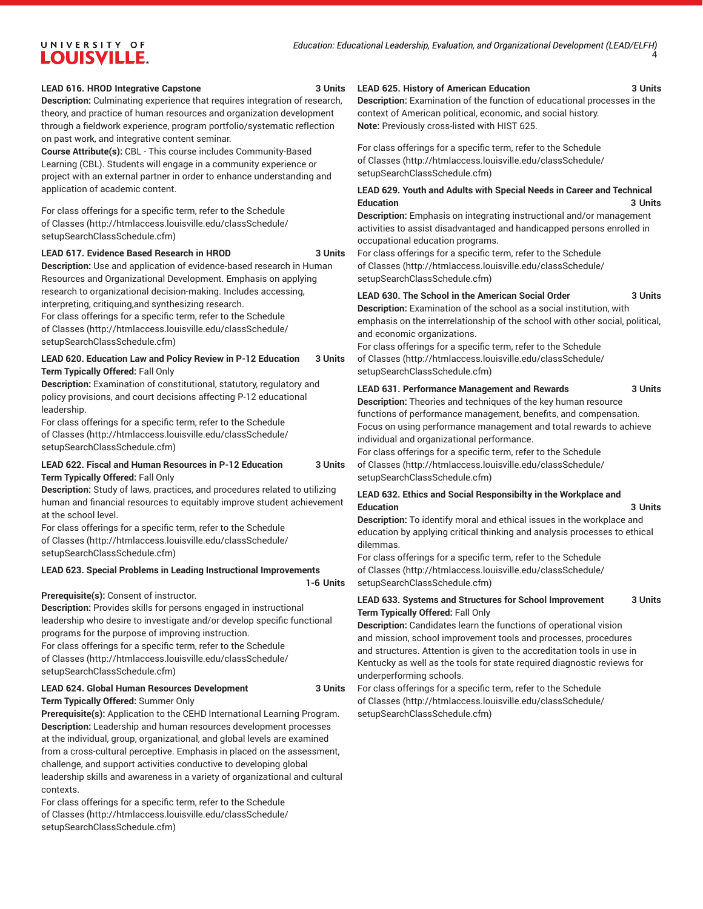#### **LEAD 616. HROD Integrative Capstone 3 Units**

**Description:** Culminating experience that requires integration of research, theory, and practice of human resources and organization development through a fieldwork experience, program portfolio/systematic reflection on past work, and integrative content seminar.

**Course Attribute(s):** CBL - This course includes Community-Based Learning (CBL). Students will engage in a community experience or project with an external partner in order to enhance understanding and application of academic content.

For class offerings for a specific term, refer to the [Schedule](http://htmlaccess.louisville.edu/classSchedule/setupSearchClassSchedule.cfm) [of Classes \(http://htmlaccess.louisville.edu/classSchedule/](http://htmlaccess.louisville.edu/classSchedule/setupSearchClassSchedule.cfm) [setupSearchClassSchedule.cfm\)](http://htmlaccess.louisville.edu/classSchedule/setupSearchClassSchedule.cfm)

#### **LEAD 617. Evidence Based Research in HROD 3 Units**

**Description:** Use and application of evidence-based research in Human Resources and Organizational Development. Emphasis on applying research to organizational decision-making. Includes accessing, interpreting, critiquing,and synthesizing research.

For class offerings for a specific term, refer to the [Schedule](http://htmlaccess.louisville.edu/classSchedule/setupSearchClassSchedule.cfm) [of Classes \(http://htmlaccess.louisville.edu/classSchedule/](http://htmlaccess.louisville.edu/classSchedule/setupSearchClassSchedule.cfm) [setupSearchClassSchedule.cfm\)](http://htmlaccess.louisville.edu/classSchedule/setupSearchClassSchedule.cfm)

#### **LEAD 620. Education Law and Policy Review in P-12 Education 3 Units Term Typically Offered:** Fall Only

**Description:** Examination of constitutional, statutory, regulatory and policy provisions, and court decisions affecting P-12 educational leadership.

For class offerings for a specific term, refer to the [Schedule](http://htmlaccess.louisville.edu/classSchedule/setupSearchClassSchedule.cfm) [of Classes \(http://htmlaccess.louisville.edu/classSchedule/](http://htmlaccess.louisville.edu/classSchedule/setupSearchClassSchedule.cfm) [setupSearchClassSchedule.cfm\)](http://htmlaccess.louisville.edu/classSchedule/setupSearchClassSchedule.cfm)

#### **LEAD 622. Fiscal and Human Resources in P-12 Education 3 Units Term Typically Offered:** Fall Only

**Description:** Study of laws, practices, and procedures related to utilizing human and financial resources to equitably improve student achievement at the school level.

For class offerings for a specific term, refer to the [Schedule](http://htmlaccess.louisville.edu/classSchedule/setupSearchClassSchedule.cfm) [of Classes \(http://htmlaccess.louisville.edu/classSchedule/](http://htmlaccess.louisville.edu/classSchedule/setupSearchClassSchedule.cfm) [setupSearchClassSchedule.cfm\)](http://htmlaccess.louisville.edu/classSchedule/setupSearchClassSchedule.cfm)

#### **LEAD 623. Special Problems in Leading Instructional Improvements**

**Prerequisite(s):** Consent of instructor.

**Description:** Provides skills for persons engaged in instructional leadership who desire to investigate and/or develop specific functional programs for the purpose of improving instruction. For class offerings for a specific term, refer to the [Schedule](http://htmlaccess.louisville.edu/classSchedule/setupSearchClassSchedule.cfm) [of Classes \(http://htmlaccess.louisville.edu/classSchedule/](http://htmlaccess.louisville.edu/classSchedule/setupSearchClassSchedule.cfm) [setupSearchClassSchedule.cfm\)](http://htmlaccess.louisville.edu/classSchedule/setupSearchClassSchedule.cfm)

#### **LEAD 624. Global Human Resources Development 3 Units Term Typically Offered:** Summer Only

**Prerequisite(s):** Application to the CEHD International Learning Program. **Description:** Leadership and human resources development processes at the individual, group, organizational, and global levels are examined from a cross-cultural perceptive. Emphasis in placed on the assessment, challenge, and support activities conductive to developing global leadership skills and awareness in a variety of organizational and cultural contexts.

For class offerings for a specific term, refer to the [Schedule](http://htmlaccess.louisville.edu/classSchedule/setupSearchClassSchedule.cfm) [of Classes \(http://htmlaccess.louisville.edu/classSchedule/](http://htmlaccess.louisville.edu/classSchedule/setupSearchClassSchedule.cfm) [setupSearchClassSchedule.cfm\)](http://htmlaccess.louisville.edu/classSchedule/setupSearchClassSchedule.cfm)

#### **LEAD 625. History of American Education 3 Units**

**Description:** Examination of the function of educational processes in the context of American political, economic, and social history. **Note:** Previously cross-listed with HIST 625.

For class offerings for a specific term, refer to the [Schedule](http://htmlaccess.louisville.edu/classSchedule/setupSearchClassSchedule.cfm) [of Classes](http://htmlaccess.louisville.edu/classSchedule/setupSearchClassSchedule.cfm) ([http://htmlaccess.louisville.edu/classSchedule/](http://htmlaccess.louisville.edu/classSchedule/setupSearchClassSchedule.cfm) [setupSearchClassSchedule.cfm\)](http://htmlaccess.louisville.edu/classSchedule/setupSearchClassSchedule.cfm)

#### **LEAD 629. Youth and Adults with Special Needs in Career and Technical Education 3 Units**

**Description:** Emphasis on integrating instructional and/or management activities to assist disadvantaged and handicapped persons enrolled in occupational education programs.

For class offerings for a specific term, refer to the [Schedule](http://htmlaccess.louisville.edu/classSchedule/setupSearchClassSchedule.cfm) [of Classes](http://htmlaccess.louisville.edu/classSchedule/setupSearchClassSchedule.cfm) ([http://htmlaccess.louisville.edu/classSchedule/](http://htmlaccess.louisville.edu/classSchedule/setupSearchClassSchedule.cfm) [setupSearchClassSchedule.cfm\)](http://htmlaccess.louisville.edu/classSchedule/setupSearchClassSchedule.cfm)

### **LEAD 630. The School in the American Social Order 3 Units**

**Description:** Examination of the school as a social institution, with emphasis on the interrelationship of the school with other social, political, and economic organizations.

For class offerings for a specific term, refer to the [Schedule](http://htmlaccess.louisville.edu/classSchedule/setupSearchClassSchedule.cfm) [of Classes](http://htmlaccess.louisville.edu/classSchedule/setupSearchClassSchedule.cfm) ([http://htmlaccess.louisville.edu/classSchedule/](http://htmlaccess.louisville.edu/classSchedule/setupSearchClassSchedule.cfm) [setupSearchClassSchedule.cfm\)](http://htmlaccess.louisville.edu/classSchedule/setupSearchClassSchedule.cfm)

**LEAD 631. Performance Management and Rewards 3 Units**

**Description:** Theories and techniques of the key human resource functions of performance management, benefits, and compensation. Focus on using performance management and total rewards to achieve individual and organizational performance.

For class offerings for a specific term, refer to the [Schedule](http://htmlaccess.louisville.edu/classSchedule/setupSearchClassSchedule.cfm) [of Classes](http://htmlaccess.louisville.edu/classSchedule/setupSearchClassSchedule.cfm) ([http://htmlaccess.louisville.edu/classSchedule/](http://htmlaccess.louisville.edu/classSchedule/setupSearchClassSchedule.cfm) [setupSearchClassSchedule.cfm\)](http://htmlaccess.louisville.edu/classSchedule/setupSearchClassSchedule.cfm)

#### **LEAD 632. Ethics and Social Responsibilty in the Workplace and Education 3 Units**

**Description:** To identify moral and ethical issues in the workplace and education by applying critical thinking and analysis processes to ethical dilemmas.

For class offerings for a specific term, refer to the [Schedule](http://htmlaccess.louisville.edu/classSchedule/setupSearchClassSchedule.cfm) [of Classes](http://htmlaccess.louisville.edu/classSchedule/setupSearchClassSchedule.cfm) ([http://htmlaccess.louisville.edu/classSchedule/](http://htmlaccess.louisville.edu/classSchedule/setupSearchClassSchedule.cfm) [setupSearchClassSchedule.cfm\)](http://htmlaccess.louisville.edu/classSchedule/setupSearchClassSchedule.cfm)

#### **LEAD 633. Systems and Structures for School Improvement 3 Units Term Typically Offered:** Fall Only

**Description:** Candidates learn the functions of operational vision and mission, school improvement tools and processes, procedures and structures. Attention is given to the accreditation tools in use in Kentucky as well as the tools for state required diagnostic reviews for underperforming schools.

For class offerings for a specific term, refer to the [Schedule](http://htmlaccess.louisville.edu/classSchedule/setupSearchClassSchedule.cfm) [of Classes](http://htmlaccess.louisville.edu/classSchedule/setupSearchClassSchedule.cfm) ([http://htmlaccess.louisville.edu/classSchedule/](http://htmlaccess.louisville.edu/classSchedule/setupSearchClassSchedule.cfm) [setupSearchClassSchedule.cfm\)](http://htmlaccess.louisville.edu/classSchedule/setupSearchClassSchedule.cfm)

**1-6 Units**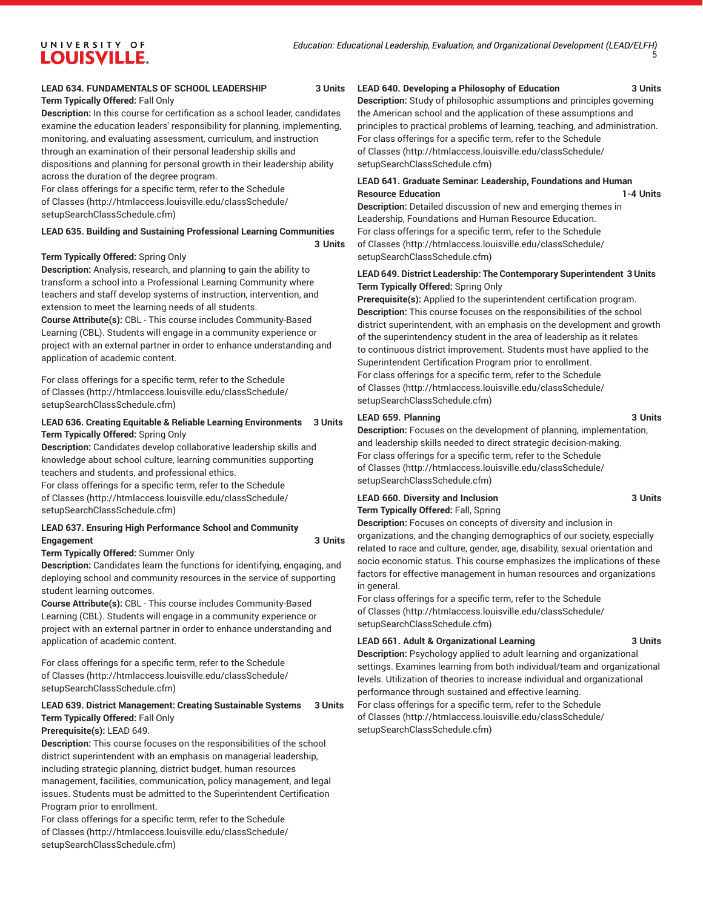### **LEAD 634. FUNDAMENTALS OF SCHOOL LEADERSHIP 3 Units**

#### **Term Typically Offered:** Fall Only

**Description:** In this course for certification as a school leader, candidates examine the education leaders' responsibility for planning, implementing, monitoring, and evaluating assessment, curriculum, and instruction through an examination of their personal leadership skills and dispositions and planning for personal growth in their leadership ability across the duration of the degree program.

For class offerings for a specific term, refer to the [Schedule](http://htmlaccess.louisville.edu/classSchedule/setupSearchClassSchedule.cfm) [of Classes \(http://htmlaccess.louisville.edu/classSchedule/](http://htmlaccess.louisville.edu/classSchedule/setupSearchClassSchedule.cfm) [setupSearchClassSchedule.cfm\)](http://htmlaccess.louisville.edu/classSchedule/setupSearchClassSchedule.cfm)

#### **LEAD 635. Building and Sustaining Professional Learning Communities**

#### **Term Typically Offered:** Spring Only

**Description:** Analysis, research, and planning to gain the ability to transform a school into a Professional Learning Community where teachers and staff develop systems of instruction, intervention, and extension to meet the learning needs of all students.

**Course Attribute(s):** CBL - This course includes Community-Based Learning (CBL). Students will engage in a community experience or project with an external partner in order to enhance understanding and application of academic content.

For class offerings for a specific term, refer to the [Schedule](http://htmlaccess.louisville.edu/classSchedule/setupSearchClassSchedule.cfm) [of Classes \(http://htmlaccess.louisville.edu/classSchedule/](http://htmlaccess.louisville.edu/classSchedule/setupSearchClassSchedule.cfm) [setupSearchClassSchedule.cfm\)](http://htmlaccess.louisville.edu/classSchedule/setupSearchClassSchedule.cfm)

#### **LEAD 636. Creating Equitable & Reliable Learning Environments 3 Units Term Typically Offered:** Spring Only

**Description:** Candidates develop collaborative leadership skills and knowledge about school culture, learning communities supporting teachers and students, and professional ethics.

For class offerings for a specific term, refer to the [Schedule](http://htmlaccess.louisville.edu/classSchedule/setupSearchClassSchedule.cfm) [of Classes \(http://htmlaccess.louisville.edu/classSchedule/](http://htmlaccess.louisville.edu/classSchedule/setupSearchClassSchedule.cfm) [setupSearchClassSchedule.cfm\)](http://htmlaccess.louisville.edu/classSchedule/setupSearchClassSchedule.cfm)

#### **LEAD 637. Ensuring High Performance School and Community Engagement 3 Units**

**3 Units**

#### **Term Typically Offered:** Summer Only

**Description:** Candidates learn the functions for identifying, engaging, and deploying school and community resources in the service of supporting student learning outcomes.

**Course Attribute(s):** CBL - This course includes Community-Based Learning (CBL). Students will engage in a community experience or project with an external partner in order to enhance understanding and application of academic content.

For class offerings for a specific term, refer to the [Schedule](http://htmlaccess.louisville.edu/classSchedule/setupSearchClassSchedule.cfm) [of Classes \(http://htmlaccess.louisville.edu/classSchedule/](http://htmlaccess.louisville.edu/classSchedule/setupSearchClassSchedule.cfm) [setupSearchClassSchedule.cfm\)](http://htmlaccess.louisville.edu/classSchedule/setupSearchClassSchedule.cfm)

## **LEAD 639. District Management: Creating Sustainable Systems 3 Units Term Typically Offered:** Fall Only

### **Prerequisite(s):** LEAD 649.

**Description:** This course focuses on the responsibilities of the school district superintendent with an emphasis on managerial leadership, including strategic planning, district budget, human resources management, facilities, communication, policy management, and legal issues. Students must be admitted to the Superintendent Certification Program prior to enrollment.

For class offerings for a specific term, refer to the [Schedule](http://htmlaccess.louisville.edu/classSchedule/setupSearchClassSchedule.cfm) [of Classes \(http://htmlaccess.louisville.edu/classSchedule/](http://htmlaccess.louisville.edu/classSchedule/setupSearchClassSchedule.cfm) [setupSearchClassSchedule.cfm\)](http://htmlaccess.louisville.edu/classSchedule/setupSearchClassSchedule.cfm)

#### **LEAD 640. Developing a Philosophy of Education 3 Units**

**Description:** Study of philosophic assumptions and principles governing the American school and the application of these assumptions and principles to practical problems of learning, teaching, and administration. For class offerings for a specific term, refer to the [Schedule](http://htmlaccess.louisville.edu/classSchedule/setupSearchClassSchedule.cfm) [of Classes](http://htmlaccess.louisville.edu/classSchedule/setupSearchClassSchedule.cfm) ([http://htmlaccess.louisville.edu/classSchedule/](http://htmlaccess.louisville.edu/classSchedule/setupSearchClassSchedule.cfm) [setupSearchClassSchedule.cfm\)](http://htmlaccess.louisville.edu/classSchedule/setupSearchClassSchedule.cfm)

### **LEAD 641. Graduate Seminar: Leadership, Foundations and Human Resource Education 1-4 Units**

**Description:** Detailed discussion of new and emerging themes in Leadership, Foundations and Human Resource Education. For class offerings for a specific term, refer to the [Schedule](http://htmlaccess.louisville.edu/classSchedule/setupSearchClassSchedule.cfm) [of Classes](http://htmlaccess.louisville.edu/classSchedule/setupSearchClassSchedule.cfm) ([http://htmlaccess.louisville.edu/classSchedule/](http://htmlaccess.louisville.edu/classSchedule/setupSearchClassSchedule.cfm) [setupSearchClassSchedule.cfm\)](http://htmlaccess.louisville.edu/classSchedule/setupSearchClassSchedule.cfm)

#### **LEAD 649. District Leadership: The Contemporary Superintendent 3 Units Term Typically Offered:** Spring Only

**Prerequisite(s):** Applied to the superintendent certification program. **Description:** This course focuses on the responsibilities of the school district superintendent, with an emphasis on the development and growth of the superintendency student in the area of leadership as it relates to continuous district improvement. Students must have applied to the Superintendent Certification Program prior to enrollment. For class offerings for a specific term, refer to the [Schedule](http://htmlaccess.louisville.edu/classSchedule/setupSearchClassSchedule.cfm) [of Classes](http://htmlaccess.louisville.edu/classSchedule/setupSearchClassSchedule.cfm) ([http://htmlaccess.louisville.edu/classSchedule/](http://htmlaccess.louisville.edu/classSchedule/setupSearchClassSchedule.cfm) [setupSearchClassSchedule.cfm\)](http://htmlaccess.louisville.edu/classSchedule/setupSearchClassSchedule.cfm)

#### LEAD 659. Planning 3 Units

**Description:** Focuses on the development of planning, implementation, and leadership skills needed to direct strategic decision-making. For class offerings for a specific term, refer to the [Schedule](http://htmlaccess.louisville.edu/classSchedule/setupSearchClassSchedule.cfm) [of Classes](http://htmlaccess.louisville.edu/classSchedule/setupSearchClassSchedule.cfm) ([http://htmlaccess.louisville.edu/classSchedule/](http://htmlaccess.louisville.edu/classSchedule/setupSearchClassSchedule.cfm) [setupSearchClassSchedule.cfm\)](http://htmlaccess.louisville.edu/classSchedule/setupSearchClassSchedule.cfm)

#### **LEAD 660. Diversity and Inclusion 3 Units Term Typically Offered:** Fall, Spring

**Description:** Focuses on concepts of diversity and inclusion in organizations, and the changing demographics of our society, especially related to race and culture, gender, age, disability, sexual orientation and socio economic status. This course emphasizes the implications of these factors for effective management in human resources and organizations in general.

For class offerings for a specific term, refer to the [Schedule](http://htmlaccess.louisville.edu/classSchedule/setupSearchClassSchedule.cfm) [of Classes](http://htmlaccess.louisville.edu/classSchedule/setupSearchClassSchedule.cfm) ([http://htmlaccess.louisville.edu/classSchedule/](http://htmlaccess.louisville.edu/classSchedule/setupSearchClassSchedule.cfm) [setupSearchClassSchedule.cfm\)](http://htmlaccess.louisville.edu/classSchedule/setupSearchClassSchedule.cfm)

#### **LEAD 661. Adult & Organizational Learning 3 Units**

**Description:** Psychology applied to adult learning and organizational settings. Examines learning from both individual/team and organizational levels. Utilization of theories to increase individual and organizational performance through sustained and effective learning. For class offerings for a specific term, refer to the [Schedule](http://htmlaccess.louisville.edu/classSchedule/setupSearchClassSchedule.cfm) [of Classes](http://htmlaccess.louisville.edu/classSchedule/setupSearchClassSchedule.cfm) ([http://htmlaccess.louisville.edu/classSchedule/](http://htmlaccess.louisville.edu/classSchedule/setupSearchClassSchedule.cfm) [setupSearchClassSchedule.cfm\)](http://htmlaccess.louisville.edu/classSchedule/setupSearchClassSchedule.cfm)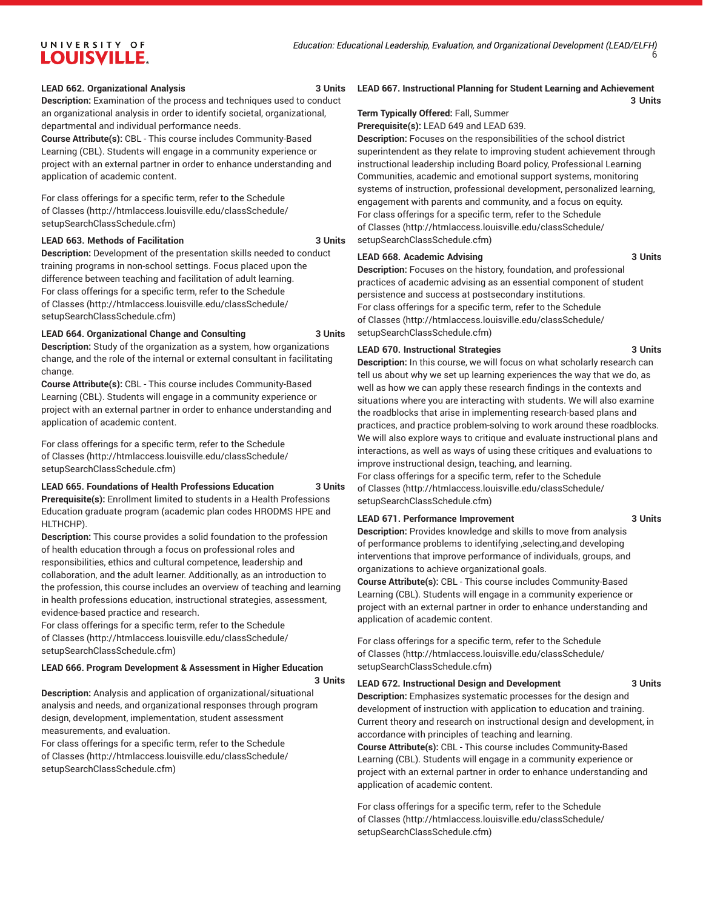#### **LEAD 662. Organizational Analysis 3 Units**

**Description:** Examination of the process and techniques used to conduct an organizational analysis in order to identify societal, organizational, departmental and individual performance needs.

**Course Attribute(s):** CBL - This course includes Community-Based Learning (CBL). Students will engage in a community experience or project with an external partner in order to enhance understanding and application of academic content.

For class offerings for a specific term, refer to the [Schedule](http://htmlaccess.louisville.edu/classSchedule/setupSearchClassSchedule.cfm) [of Classes \(http://htmlaccess.louisville.edu/classSchedule/](http://htmlaccess.louisville.edu/classSchedule/setupSearchClassSchedule.cfm) [setupSearchClassSchedule.cfm\)](http://htmlaccess.louisville.edu/classSchedule/setupSearchClassSchedule.cfm)

#### **LEAD 663. Methods of Facilitation 3 Units**

**Description:** Development of the presentation skills needed to conduct training programs in non-school settings. Focus placed upon the difference between teaching and facilitation of adult learning. For class offerings for a specific term, refer to the [Schedule](http://htmlaccess.louisville.edu/classSchedule/setupSearchClassSchedule.cfm) [of Classes \(http://htmlaccess.louisville.edu/classSchedule/](http://htmlaccess.louisville.edu/classSchedule/setupSearchClassSchedule.cfm) [setupSearchClassSchedule.cfm\)](http://htmlaccess.louisville.edu/classSchedule/setupSearchClassSchedule.cfm)

## **LEAD 664. Organizational Change and Consulting 3 Units**

**Description:** Study of the organization as a system, how organizations change, and the role of the internal or external consultant in facilitating change.

**Course Attribute(s):** CBL - This course includes Community-Based Learning (CBL). Students will engage in a community experience or project with an external partner in order to enhance understanding and application of academic content.

For class offerings for a specific term, refer to the [Schedule](http://htmlaccess.louisville.edu/classSchedule/setupSearchClassSchedule.cfm) [of Classes \(http://htmlaccess.louisville.edu/classSchedule/](http://htmlaccess.louisville.edu/classSchedule/setupSearchClassSchedule.cfm) [setupSearchClassSchedule.cfm\)](http://htmlaccess.louisville.edu/classSchedule/setupSearchClassSchedule.cfm)

## **LEAD 665. Foundations of Health Professions Education 3 Units**

**Prerequisite(s):** Enrollment limited to students in a Health Professions Education graduate program (academic plan codes HRODMS HPE and HLTHCHP).

**Description:** This course provides a solid foundation to the profession of health education through a focus on professional roles and responsibilities, ethics and cultural competence, leadership and collaboration, and the adult learner. Additionally, as an introduction to the profession, this course includes an overview of teaching and learning in health professions education, instructional strategies, assessment, evidence-based practice and research.

For class offerings for a specific term, refer to the [Schedule](http://htmlaccess.louisville.edu/classSchedule/setupSearchClassSchedule.cfm) [of Classes \(http://htmlaccess.louisville.edu/classSchedule/](http://htmlaccess.louisville.edu/classSchedule/setupSearchClassSchedule.cfm) [setupSearchClassSchedule.cfm\)](http://htmlaccess.louisville.edu/classSchedule/setupSearchClassSchedule.cfm)

#### **LEAD 666. Program Development & Assessment in Higher Education**

**3 Units**

**Description:** Analysis and application of organizational/situational analysis and needs, and organizational responses through program design, development, implementation, student assessment measurements, and evaluation.

For class offerings for a specific term, refer to the [Schedule](http://htmlaccess.louisville.edu/classSchedule/setupSearchClassSchedule.cfm) [of Classes \(http://htmlaccess.louisville.edu/classSchedule/](http://htmlaccess.louisville.edu/classSchedule/setupSearchClassSchedule.cfm) [setupSearchClassSchedule.cfm\)](http://htmlaccess.louisville.edu/classSchedule/setupSearchClassSchedule.cfm)

#### **LEAD 667. Instructional Planning for Student Learning and Achievement 3 Units**

**Term Typically Offered:** Fall, Summer

**Prerequisite(s):** LEAD 649 and LEAD 639.

**Description:** Focuses on the responsibilities of the school district superintendent as they relate to improving student achievement through instructional leadership including Board policy, Professional Learning Communities, academic and emotional support systems, monitoring systems of instruction, professional development, personalized learning, engagement with parents and community, and a focus on equity. For class offerings for a specific term, refer to the [Schedule](http://htmlaccess.louisville.edu/classSchedule/setupSearchClassSchedule.cfm) [of Classes](http://htmlaccess.louisville.edu/classSchedule/setupSearchClassSchedule.cfm) ([http://htmlaccess.louisville.edu/classSchedule/](http://htmlaccess.louisville.edu/classSchedule/setupSearchClassSchedule.cfm) [setupSearchClassSchedule.cfm\)](http://htmlaccess.louisville.edu/classSchedule/setupSearchClassSchedule.cfm)

#### LEAD 668. Academic Advising **3 Units** 3 Units

**Description:** Focuses on the history, foundation, and professional practices of academic advising as an essential component of student persistence and success at postsecondary institutions. For class offerings for a specific term, refer to the [Schedule](http://htmlaccess.louisville.edu/classSchedule/setupSearchClassSchedule.cfm) [of Classes](http://htmlaccess.louisville.edu/classSchedule/setupSearchClassSchedule.cfm) ([http://htmlaccess.louisville.edu/classSchedule/](http://htmlaccess.louisville.edu/classSchedule/setupSearchClassSchedule.cfm) [setupSearchClassSchedule.cfm\)](http://htmlaccess.louisville.edu/classSchedule/setupSearchClassSchedule.cfm)

#### **LEAD 670. Instructional Strategies 3 Units**

**Description:** In this course, we will focus on what scholarly research can tell us about why we set up learning experiences the way that we do, as well as how we can apply these research findings in the contexts and situations where you are interacting with students. We will also examine the roadblocks that arise in implementing research-based plans and practices, and practice problem-solving to work around these roadblocks. We will also explore ways to critique and evaluate instructional plans and interactions, as well as ways of using these critiques and evaluations to improve instructional design, teaching, and learning.

For class offerings for a specific term, refer to the [Schedule](http://htmlaccess.louisville.edu/classSchedule/setupSearchClassSchedule.cfm) [of Classes](http://htmlaccess.louisville.edu/classSchedule/setupSearchClassSchedule.cfm) ([http://htmlaccess.louisville.edu/classSchedule/](http://htmlaccess.louisville.edu/classSchedule/setupSearchClassSchedule.cfm) [setupSearchClassSchedule.cfm\)](http://htmlaccess.louisville.edu/classSchedule/setupSearchClassSchedule.cfm)

#### **LEAD 671. Performance Improvement 3 Units**

**Description:** Provides knowledge and skills to move from analysis of performance problems to identifying ,selecting,and developing interventions that improve performance of individuals, groups, and organizations to achieve organizational goals.

**Course Attribute(s):** CBL - This course includes Community-Based Learning (CBL). Students will engage in a community experience or project with an external partner in order to enhance understanding and application of academic content.

For class offerings for a specific term, refer to the [Schedule](http://htmlaccess.louisville.edu/classSchedule/setupSearchClassSchedule.cfm) [of Classes](http://htmlaccess.louisville.edu/classSchedule/setupSearchClassSchedule.cfm) ([http://htmlaccess.louisville.edu/classSchedule/](http://htmlaccess.louisville.edu/classSchedule/setupSearchClassSchedule.cfm) [setupSearchClassSchedule.cfm\)](http://htmlaccess.louisville.edu/classSchedule/setupSearchClassSchedule.cfm)

#### **LEAD 672. Instructional Design and Development 3 Units**

**Description:** Emphasizes systematic processes for the design and development of instruction with application to education and training. Current theory and research on instructional design and development, in accordance with principles of teaching and learning. **Course Attribute(s):** CBL - This course includes Community-Based Learning (CBL). Students will engage in a community experience or

project with an external partner in order to enhance understanding and application of academic content.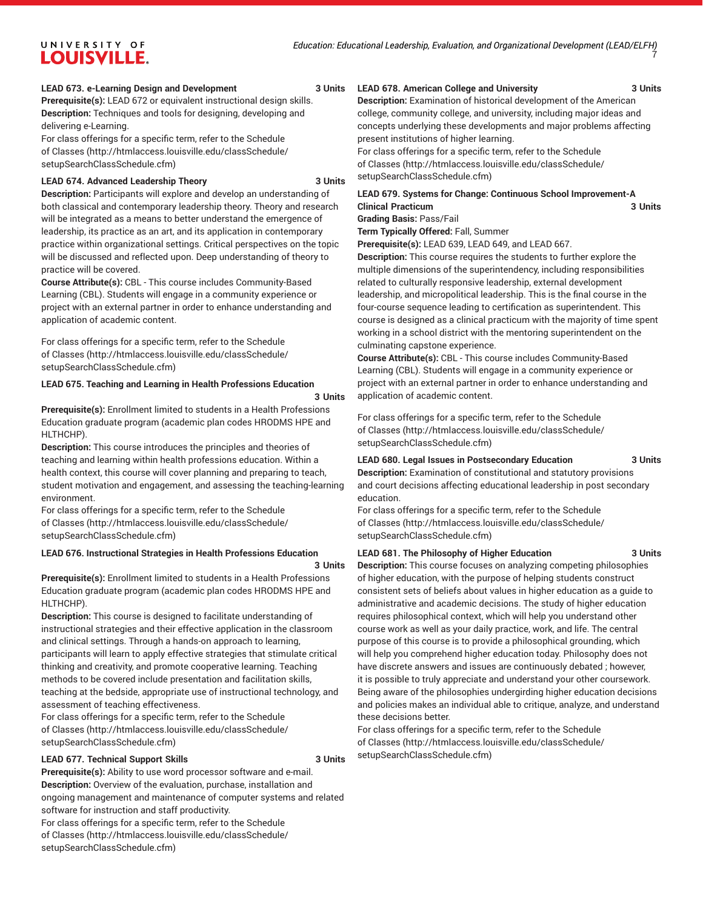#### **LEAD 673. e-Learning Design and Development 3 Units**

**Prerequisite(s):** LEAD 672 or equivalent instructional design skills. **Description:** Techniques and tools for designing, developing and delivering e-Learning.

For class offerings for a specific term, refer to the [Schedule](http://htmlaccess.louisville.edu/classSchedule/setupSearchClassSchedule.cfm) [of Classes \(http://htmlaccess.louisville.edu/classSchedule/](http://htmlaccess.louisville.edu/classSchedule/setupSearchClassSchedule.cfm) [setupSearchClassSchedule.cfm\)](http://htmlaccess.louisville.edu/classSchedule/setupSearchClassSchedule.cfm)

#### **LEAD 674. Advanced Leadership Theory 3 Units**

**Description:** Participants will explore and develop an understanding of both classical and contemporary leadership theory. Theory and research will be integrated as a means to better understand the emergence of leadership, its practice as an art, and its application in contemporary practice within organizational settings. Critical perspectives on the topic will be discussed and reflected upon. Deep understanding of theory to practice will be covered.

**Course Attribute(s):** CBL - This course includes Community-Based Learning (CBL). Students will engage in a community experience or project with an external partner in order to enhance understanding and application of academic content.

For class offerings for a specific term, refer to the [Schedule](http://htmlaccess.louisville.edu/classSchedule/setupSearchClassSchedule.cfm) [of Classes \(http://htmlaccess.louisville.edu/classSchedule/](http://htmlaccess.louisville.edu/classSchedule/setupSearchClassSchedule.cfm) [setupSearchClassSchedule.cfm\)](http://htmlaccess.louisville.edu/classSchedule/setupSearchClassSchedule.cfm)

#### **LEAD 675. Teaching and Learning in Health Professions Education**

#### **3 Units**

**Prerequisite(s):** Enrollment limited to students in a Health Professions Education graduate program (academic plan codes HRODMS HPE and HLTHCHP).

**Description:** This course introduces the principles and theories of teaching and learning within health professions education. Within a health context, this course will cover planning and preparing to teach, student motivation and engagement, and assessing the teaching-learning environment.

For class offerings for a specific term, refer to the [Schedule](http://htmlaccess.louisville.edu/classSchedule/setupSearchClassSchedule.cfm) [of Classes \(http://htmlaccess.louisville.edu/classSchedule/](http://htmlaccess.louisville.edu/classSchedule/setupSearchClassSchedule.cfm) [setupSearchClassSchedule.cfm\)](http://htmlaccess.louisville.edu/classSchedule/setupSearchClassSchedule.cfm)

### **LEAD 676. Instructional Strategies in Health Professions Education**

#### **3 Units**

**Prerequisite(s):** Enrollment limited to students in a Health Professions Education graduate program (academic plan codes HRODMS HPE and HLTHCHP).

**Description:** This course is designed to facilitate understanding of instructional strategies and their effective application in the classroom and clinical settings. Through a hands-on approach to learning, participants will learn to apply effective strategies that stimulate critical thinking and creativity, and promote cooperative learning. Teaching methods to be covered include presentation and facilitation skills, teaching at the bedside, appropriate use of instructional technology, and assessment of teaching effectiveness.

For class offerings for a specific term, refer to the [Schedule](http://htmlaccess.louisville.edu/classSchedule/setupSearchClassSchedule.cfm) [of Classes \(http://htmlaccess.louisville.edu/classSchedule/](http://htmlaccess.louisville.edu/classSchedule/setupSearchClassSchedule.cfm) [setupSearchClassSchedule.cfm\)](http://htmlaccess.louisville.edu/classSchedule/setupSearchClassSchedule.cfm)

#### **LEAD 677. Technical Support Skills 3 Units**

**Prerequisite(s):** Ability to use word processor software and e-mail. **Description:** Overview of the evaluation, purchase, installation and ongoing management and maintenance of computer systems and related software for instruction and staff productivity.

For class offerings for a specific term, refer to the [Schedule](http://htmlaccess.louisville.edu/classSchedule/setupSearchClassSchedule.cfm) [of Classes \(http://htmlaccess.louisville.edu/classSchedule/](http://htmlaccess.louisville.edu/classSchedule/setupSearchClassSchedule.cfm) [setupSearchClassSchedule.cfm\)](http://htmlaccess.louisville.edu/classSchedule/setupSearchClassSchedule.cfm)

#### **LEAD 678. American College and University 3 Units**

**Description:** Examination of historical development of the American college, community college, and university, including major ideas and concepts underlying these developments and major problems affecting present institutions of higher learning.

For class offerings for a specific term, refer to the [Schedule](http://htmlaccess.louisville.edu/classSchedule/setupSearchClassSchedule.cfm) [of Classes](http://htmlaccess.louisville.edu/classSchedule/setupSearchClassSchedule.cfm) ([http://htmlaccess.louisville.edu/classSchedule/](http://htmlaccess.louisville.edu/classSchedule/setupSearchClassSchedule.cfm) [setupSearchClassSchedule.cfm\)](http://htmlaccess.louisville.edu/classSchedule/setupSearchClassSchedule.cfm)

### **LEAD 679. Systems for Change: Continuous School Improvement-A Clinical Practicum 3 Units**

**Grading Basis:** Pass/Fail **Term Typically Offered:** Fall, Summer

**Prerequisite(s):** LEAD 639, LEAD 649, and LEAD 667.

**Description:** This course requires the students to further explore the multiple dimensions of the superintendency, including responsibilities related to culturally responsive leadership, external development leadership, and micropolitical leadership. This is the final course in the four-course sequence leading to certification as superintendent. This course is designed as a clinical practicum with the majority of time spent working in a school district with the mentoring superintendent on the culminating capstone experience.

**Course Attribute(s):** CBL - This course includes Community-Based Learning (CBL). Students will engage in a community experience or project with an external partner in order to enhance understanding and application of academic content.

For class offerings for a specific term, refer to the [Schedule](http://htmlaccess.louisville.edu/classSchedule/setupSearchClassSchedule.cfm) [of Classes](http://htmlaccess.louisville.edu/classSchedule/setupSearchClassSchedule.cfm) ([http://htmlaccess.louisville.edu/classSchedule/](http://htmlaccess.louisville.edu/classSchedule/setupSearchClassSchedule.cfm) [setupSearchClassSchedule.cfm\)](http://htmlaccess.louisville.edu/classSchedule/setupSearchClassSchedule.cfm)

#### **LEAD 680. Legal Issues in Postsecondary Education 3 Units**

**Description:** Examination of constitutional and statutory provisions and court decisions affecting educational leadership in post secondary education.

For class offerings for a specific term, refer to the [Schedule](http://htmlaccess.louisville.edu/classSchedule/setupSearchClassSchedule.cfm) [of Classes](http://htmlaccess.louisville.edu/classSchedule/setupSearchClassSchedule.cfm) ([http://htmlaccess.louisville.edu/classSchedule/](http://htmlaccess.louisville.edu/classSchedule/setupSearchClassSchedule.cfm) [setupSearchClassSchedule.cfm\)](http://htmlaccess.louisville.edu/classSchedule/setupSearchClassSchedule.cfm)

### **LEAD 681. The Philosophy of Higher Education 3 Units**

**Description:** This course focuses on analyzing competing philosophies of higher education, with the purpose of helping students construct consistent sets of beliefs about values in higher education as a guide to administrative and academic decisions. The study of higher education requires philosophical context, which will help you understand other course work as well as your daily practice, work, and life. The central purpose of this course is to provide a philosophical grounding, which will help you comprehend higher education today. Philosophy does not have discrete answers and issues are continuously debated ; however, it is possible to truly appreciate and understand your other coursework. Being aware of the philosophies undergirding higher education decisions and policies makes an individual able to critique, analyze, and understand these decisions better.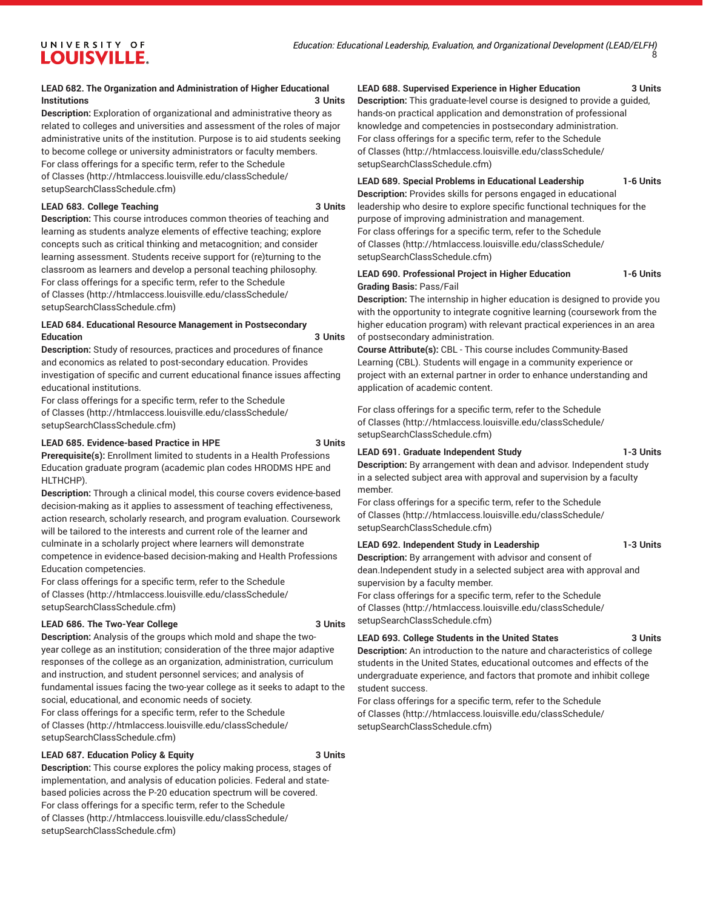#### **LEAD 682. The Organization and Administration of Higher Educational Institutions 3 Units**

**Description:** Exploration of organizational and administrative theory as related to colleges and universities and assessment of the roles of major administrative units of the institution. Purpose is to aid students seeking to become college or university administrators or faculty members. For class offerings for a specific term, refer to the [Schedule](http://htmlaccess.louisville.edu/classSchedule/setupSearchClassSchedule.cfm) [of Classes \(http://htmlaccess.louisville.edu/classSchedule/](http://htmlaccess.louisville.edu/classSchedule/setupSearchClassSchedule.cfm) [setupSearchClassSchedule.cfm\)](http://htmlaccess.louisville.edu/classSchedule/setupSearchClassSchedule.cfm)

#### **LEAD 683. College Teaching 3 Units**

**Description:** This course introduces common theories of teaching and learning as students analyze elements of effective teaching; explore concepts such as critical thinking and metacognition; and consider learning assessment. Students receive support for (re)turning to the classroom as learners and develop a personal teaching philosophy. For class offerings for a specific term, refer to the [Schedule](http://htmlaccess.louisville.edu/classSchedule/setupSearchClassSchedule.cfm) [of Classes \(http://htmlaccess.louisville.edu/classSchedule/](http://htmlaccess.louisville.edu/classSchedule/setupSearchClassSchedule.cfm) [setupSearchClassSchedule.cfm\)](http://htmlaccess.louisville.edu/classSchedule/setupSearchClassSchedule.cfm)

#### **LEAD 684. Educational Resource Management in Postsecondary Education 3 Units**

**Description:** Study of resources, practices and procedures of finance and economics as related to post-secondary education. Provides investigation of specific and current educational finance issues affecting educational institutions.

For class offerings for a specific term, refer to the [Schedule](http://htmlaccess.louisville.edu/classSchedule/setupSearchClassSchedule.cfm) [of Classes \(http://htmlaccess.louisville.edu/classSchedule/](http://htmlaccess.louisville.edu/classSchedule/setupSearchClassSchedule.cfm) [setupSearchClassSchedule.cfm\)](http://htmlaccess.louisville.edu/classSchedule/setupSearchClassSchedule.cfm)

#### **LEAD 685. Evidence-based Practice in HPE 3 Units**

**Prerequisite(s):** Enrollment limited to students in a Health Professions Education graduate program (academic plan codes HRODMS HPE and HLTHCHP).

**Description:** Through a clinical model, this course covers evidence-based decision-making as it applies to assessment of teaching effectiveness, action research, scholarly research, and program evaluation. Coursework will be tailored to the interests and current role of the learner and culminate in a scholarly project where learners will demonstrate competence in evidence-based decision-making and Health Professions Education competencies.

For class offerings for a specific term, refer to the [Schedule](http://htmlaccess.louisville.edu/classSchedule/setupSearchClassSchedule.cfm) [of Classes \(http://htmlaccess.louisville.edu/classSchedule/](http://htmlaccess.louisville.edu/classSchedule/setupSearchClassSchedule.cfm) [setupSearchClassSchedule.cfm\)](http://htmlaccess.louisville.edu/classSchedule/setupSearchClassSchedule.cfm)

#### **LEAD 686. The Two-Year College 3 Units**

**Description:** Analysis of the groups which mold and shape the twoyear college as an institution; consideration of the three major adaptive responses of the college as an organization, administration, curriculum and instruction, and student personnel services; and analysis of fundamental issues facing the two-year college as it seeks to adapt to the social, educational, and economic needs of society. For class offerings for a specific term, refer to the [Schedule](http://htmlaccess.louisville.edu/classSchedule/setupSearchClassSchedule.cfm) [of Classes \(http://htmlaccess.louisville.edu/classSchedule/](http://htmlaccess.louisville.edu/classSchedule/setupSearchClassSchedule.cfm) [setupSearchClassSchedule.cfm\)](http://htmlaccess.louisville.edu/classSchedule/setupSearchClassSchedule.cfm)

### **LEAD 687. Education Policy & Equity 3 Units**

**Description:** This course explores the policy making process, stages of implementation, and analysis of education policies. Federal and statebased policies across the P-20 education spectrum will be covered. For class offerings for a specific term, refer to the [Schedule](http://htmlaccess.louisville.edu/classSchedule/setupSearchClassSchedule.cfm) [of Classes \(http://htmlaccess.louisville.edu/classSchedule/](http://htmlaccess.louisville.edu/classSchedule/setupSearchClassSchedule.cfm) [setupSearchClassSchedule.cfm\)](http://htmlaccess.louisville.edu/classSchedule/setupSearchClassSchedule.cfm)

#### **LEAD 688. Supervised Experience in Higher Education 3 Units**

**Description:** This graduate-level course is designed to provide a guided, hands-on practical application and demonstration of professional knowledge and competencies in postsecondary administration. For class offerings for a specific term, refer to the [Schedule](http://htmlaccess.louisville.edu/classSchedule/setupSearchClassSchedule.cfm) [of Classes](http://htmlaccess.louisville.edu/classSchedule/setupSearchClassSchedule.cfm) ([http://htmlaccess.louisville.edu/classSchedule/](http://htmlaccess.louisville.edu/classSchedule/setupSearchClassSchedule.cfm) [setupSearchClassSchedule.cfm\)](http://htmlaccess.louisville.edu/classSchedule/setupSearchClassSchedule.cfm)

## **LEAD 689. Special Problems in Educational Leadership 1-6 Units**

**Description:** Provides skills for persons engaged in educational leadership who desire to explore specific functional techniques for the purpose of improving administration and management. For class offerings for a specific term, refer to the [Schedule](http://htmlaccess.louisville.edu/classSchedule/setupSearchClassSchedule.cfm) [of Classes](http://htmlaccess.louisville.edu/classSchedule/setupSearchClassSchedule.cfm) ([http://htmlaccess.louisville.edu/classSchedule/](http://htmlaccess.louisville.edu/classSchedule/setupSearchClassSchedule.cfm) [setupSearchClassSchedule.cfm\)](http://htmlaccess.louisville.edu/classSchedule/setupSearchClassSchedule.cfm)

#### **LEAD 690. Professional Project in Higher Education 1-6 Units Grading Basis:** Pass/Fail

**Description:** The internship in higher education is designed to provide you with the opportunity to integrate cognitive learning (coursework from the higher education program) with relevant practical experiences in an area of postsecondary administration.

**Course Attribute(s):** CBL - This course includes Community-Based Learning (CBL). Students will engage in a community experience or project with an external partner in order to enhance understanding and application of academic content.

For class offerings for a specific term, refer to the [Schedule](http://htmlaccess.louisville.edu/classSchedule/setupSearchClassSchedule.cfm) [of Classes](http://htmlaccess.louisville.edu/classSchedule/setupSearchClassSchedule.cfm) ([http://htmlaccess.louisville.edu/classSchedule/](http://htmlaccess.louisville.edu/classSchedule/setupSearchClassSchedule.cfm) [setupSearchClassSchedule.cfm\)](http://htmlaccess.louisville.edu/classSchedule/setupSearchClassSchedule.cfm)

#### **LEAD 691. Graduate Independent Study 1-3 Units**

**Description:** By arrangement with dean and advisor. Independent study in a selected subject area with approval and supervision by a faculty member.

For class offerings for a specific term, refer to the [Schedule](http://htmlaccess.louisville.edu/classSchedule/setupSearchClassSchedule.cfm) [of Classes](http://htmlaccess.louisville.edu/classSchedule/setupSearchClassSchedule.cfm) ([http://htmlaccess.louisville.edu/classSchedule/](http://htmlaccess.louisville.edu/classSchedule/setupSearchClassSchedule.cfm) [setupSearchClassSchedule.cfm\)](http://htmlaccess.louisville.edu/classSchedule/setupSearchClassSchedule.cfm)

#### **LEAD 692. Independent Study in Leadership 1-3 Units**

**Description:** By arrangement with advisor and consent of dean.Independent study in a selected subject area with approval and supervision by a faculty member.

For class offerings for a specific term, refer to the [Schedule](http://htmlaccess.louisville.edu/classSchedule/setupSearchClassSchedule.cfm) [of Classes](http://htmlaccess.louisville.edu/classSchedule/setupSearchClassSchedule.cfm) ([http://htmlaccess.louisville.edu/classSchedule/](http://htmlaccess.louisville.edu/classSchedule/setupSearchClassSchedule.cfm) [setupSearchClassSchedule.cfm\)](http://htmlaccess.louisville.edu/classSchedule/setupSearchClassSchedule.cfm)

## **LEAD 693. College Students in the United States 3 Units**

**Description:** An introduction to the nature and characteristics of college students in the United States, educational outcomes and effects of the undergraduate experience, and factors that promote and inhibit college student success.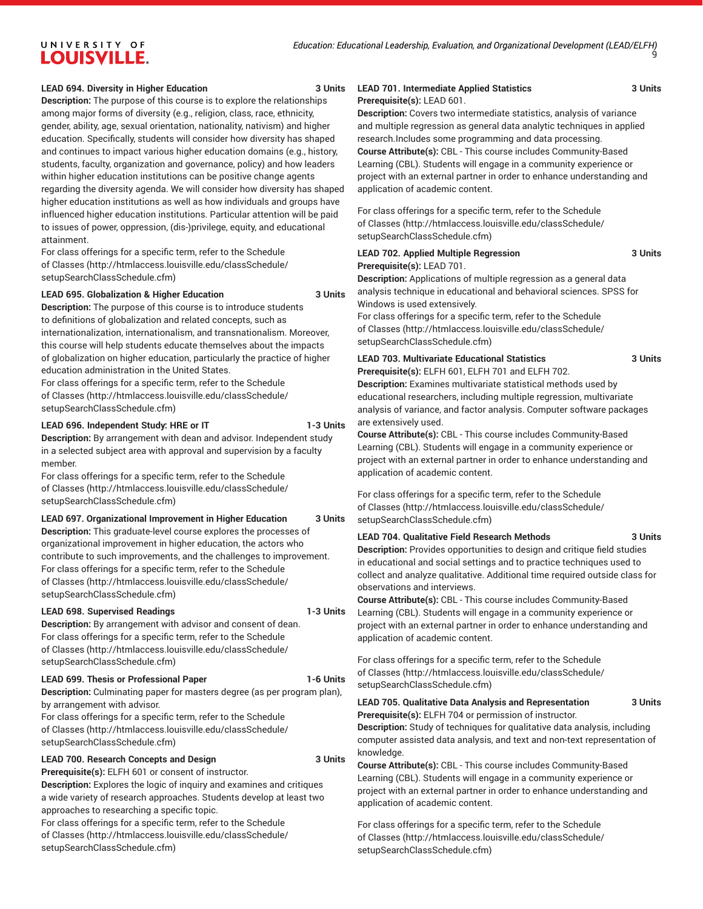#### **LEAD 694. Diversity in Higher Education 3 Units**

**Description:** The purpose of this course is to explore the relationships among major forms of diversity (e.g., religion, class, race, ethnicity, gender, ability, age, sexual orientation, nationality, nativism) and higher education. Specifically, students will consider how diversity has shaped and continues to impact various higher education domains (e.g., history, students, faculty, organization and governance, policy) and how leaders within higher education institutions can be positive change agents regarding the diversity agenda. We will consider how diversity has shaped higher education institutions as well as how individuals and groups have influenced higher education institutions. Particular attention will be paid to issues of power, oppression, (dis-)privilege, equity, and educational attainment.

For class offerings for a specific term, refer to the [Schedule](http://htmlaccess.louisville.edu/classSchedule/setupSearchClassSchedule.cfm) [of Classes \(http://htmlaccess.louisville.edu/classSchedule/](http://htmlaccess.louisville.edu/classSchedule/setupSearchClassSchedule.cfm) [setupSearchClassSchedule.cfm\)](http://htmlaccess.louisville.edu/classSchedule/setupSearchClassSchedule.cfm)

#### **LEAD 695. Globalization & Higher Education 3 Units**

**Description:** The purpose of this course is to introduce students to definitions of globalization and related concepts, such as internationalization, internationalism, and transnationalism. Moreover, this course will help students educate themselves about the impacts of globalization on higher education, particularly the practice of higher education administration in the United States.

For class offerings for a specific term, refer to the [Schedule](http://htmlaccess.louisville.edu/classSchedule/setupSearchClassSchedule.cfm) [of Classes \(http://htmlaccess.louisville.edu/classSchedule/](http://htmlaccess.louisville.edu/classSchedule/setupSearchClassSchedule.cfm) [setupSearchClassSchedule.cfm\)](http://htmlaccess.louisville.edu/classSchedule/setupSearchClassSchedule.cfm)

#### **LEAD 696. Independent Study: HRE or IT 1-3 Units**

**Description:** By arrangement with dean and advisor. Independent study in a selected subject area with approval and supervision by a faculty member.

For class offerings for a specific term, refer to the [Schedule](http://htmlaccess.louisville.edu/classSchedule/setupSearchClassSchedule.cfm) [of Classes \(http://htmlaccess.louisville.edu/classSchedule/](http://htmlaccess.louisville.edu/classSchedule/setupSearchClassSchedule.cfm) [setupSearchClassSchedule.cfm\)](http://htmlaccess.louisville.edu/classSchedule/setupSearchClassSchedule.cfm)

#### **LEAD 697. Organizational Improvement in Higher Education 3 Units**

**Description:** This graduate-level course explores the processes of organizational improvement in higher education, the actors who contribute to such improvements, and the challenges to improvement. For class offerings for a specific term, refer to the [Schedule](http://htmlaccess.louisville.edu/classSchedule/setupSearchClassSchedule.cfm) [of Classes \(http://htmlaccess.louisville.edu/classSchedule/](http://htmlaccess.louisville.edu/classSchedule/setupSearchClassSchedule.cfm) [setupSearchClassSchedule.cfm\)](http://htmlaccess.louisville.edu/classSchedule/setupSearchClassSchedule.cfm)

#### **LEAD 698. Supervised Readings 1-3 Units**

**Description:** By arrangement with advisor and consent of dean. For class offerings for a specific term, refer to the [Schedule](http://htmlaccess.louisville.edu/classSchedule/setupSearchClassSchedule.cfm) [of Classes \(http://htmlaccess.louisville.edu/classSchedule/](http://htmlaccess.louisville.edu/classSchedule/setupSearchClassSchedule.cfm) [setupSearchClassSchedule.cfm\)](http://htmlaccess.louisville.edu/classSchedule/setupSearchClassSchedule.cfm)

#### **LEAD 699. Thesis or Professional Paper 1-6 Units**

**Description:** Culminating paper for masters degree (as per program plan), by arrangement with advisor.

For class offerings for a specific term, refer to the [Schedule](http://htmlaccess.louisville.edu/classSchedule/setupSearchClassSchedule.cfm) [of Classes \(http://htmlaccess.louisville.edu/classSchedule/](http://htmlaccess.louisville.edu/classSchedule/setupSearchClassSchedule.cfm) [setupSearchClassSchedule.cfm\)](http://htmlaccess.louisville.edu/classSchedule/setupSearchClassSchedule.cfm)

#### **LEAD 700. Research Concepts and Design 3 Units**

**Prerequisite(s):** ELFH 601 or consent of instructor. **Description:** Explores the logic of inquiry and examines and critiques a wide variety of research approaches. Students develop at least two approaches to researching a specific topic.

For class offerings for a specific term, refer to the [Schedule](http://htmlaccess.louisville.edu/classSchedule/setupSearchClassSchedule.cfm) [of Classes \(http://htmlaccess.louisville.edu/classSchedule/](http://htmlaccess.louisville.edu/classSchedule/setupSearchClassSchedule.cfm) [setupSearchClassSchedule.cfm\)](http://htmlaccess.louisville.edu/classSchedule/setupSearchClassSchedule.cfm)

#### **LEAD 701. Intermediate Applied Statistics 3 Units Prerequisite(s):** LEAD 601.

**Description:** Covers two intermediate statistics, analysis of variance and multiple regression as general data analytic techniques in applied research.Includes some programming and data processing. **Course Attribute(s):** CBL - This course includes Community-Based Learning (CBL). Students will engage in a community experience or project with an external partner in order to enhance understanding and application of academic content.

For class offerings for a specific term, refer to the [Schedule](http://htmlaccess.louisville.edu/classSchedule/setupSearchClassSchedule.cfm) [of Classes](http://htmlaccess.louisville.edu/classSchedule/setupSearchClassSchedule.cfm) ([http://htmlaccess.louisville.edu/classSchedule/](http://htmlaccess.louisville.edu/classSchedule/setupSearchClassSchedule.cfm) [setupSearchClassSchedule.cfm\)](http://htmlaccess.louisville.edu/classSchedule/setupSearchClassSchedule.cfm)

**LEAD 702. Applied Multiple Regression 3 Units Prerequisite(s):** LEAD 701.

**Description:** Applications of multiple regression as a general data analysis technique in educational and behavioral sciences. SPSS for Windows is used extensively.

For class offerings for a specific term, refer to the [Schedule](http://htmlaccess.louisville.edu/classSchedule/setupSearchClassSchedule.cfm) [of Classes](http://htmlaccess.louisville.edu/classSchedule/setupSearchClassSchedule.cfm) ([http://htmlaccess.louisville.edu/classSchedule/](http://htmlaccess.louisville.edu/classSchedule/setupSearchClassSchedule.cfm) [setupSearchClassSchedule.cfm\)](http://htmlaccess.louisville.edu/classSchedule/setupSearchClassSchedule.cfm)

#### **LEAD 703. Multivariate Educational Statistics 3 Units**

**Prerequisite(s):** ELFH 601, ELFH 701 and ELFH 702. **Description:** Examines multivariate statistical methods used by educational researchers, including multiple regression, multivariate analysis of variance, and factor analysis. Computer software packages are extensively used.

**Course Attribute(s):** CBL - This course includes Community-Based Learning (CBL). Students will engage in a community experience or project with an external partner in order to enhance understanding and application of academic content.

For class offerings for a specific term, refer to the [Schedule](http://htmlaccess.louisville.edu/classSchedule/setupSearchClassSchedule.cfm) [of Classes](http://htmlaccess.louisville.edu/classSchedule/setupSearchClassSchedule.cfm) ([http://htmlaccess.louisville.edu/classSchedule/](http://htmlaccess.louisville.edu/classSchedule/setupSearchClassSchedule.cfm) [setupSearchClassSchedule.cfm\)](http://htmlaccess.louisville.edu/classSchedule/setupSearchClassSchedule.cfm)

#### **LEAD 704. Qualitative Field Research Methods 3 Units**

**Description:** Provides opportunities to design and critique field studies in educational and social settings and to practice techniques used to collect and analyze qualitative. Additional time required outside class for observations and interviews.

**Course Attribute(s):** CBL - This course includes Community-Based Learning (CBL). Students will engage in a community experience or project with an external partner in order to enhance understanding and application of academic content.

For class offerings for a specific term, refer to the [Schedule](http://htmlaccess.louisville.edu/classSchedule/setupSearchClassSchedule.cfm) [of Classes](http://htmlaccess.louisville.edu/classSchedule/setupSearchClassSchedule.cfm) ([http://htmlaccess.louisville.edu/classSchedule/](http://htmlaccess.louisville.edu/classSchedule/setupSearchClassSchedule.cfm) [setupSearchClassSchedule.cfm\)](http://htmlaccess.louisville.edu/classSchedule/setupSearchClassSchedule.cfm)

**LEAD 705. Qualitative Data Analysis and Representation 3 Units Prerequisite(s):** ELFH 704 or permission of instructor.

**Description:** Study of techniques for qualitative data analysis, including computer assisted data analysis, and text and non-text representation of knowledge.

**Course Attribute(s):** CBL - This course includes Community-Based Learning (CBL). Students will engage in a community experience or project with an external partner in order to enhance understanding and application of academic content.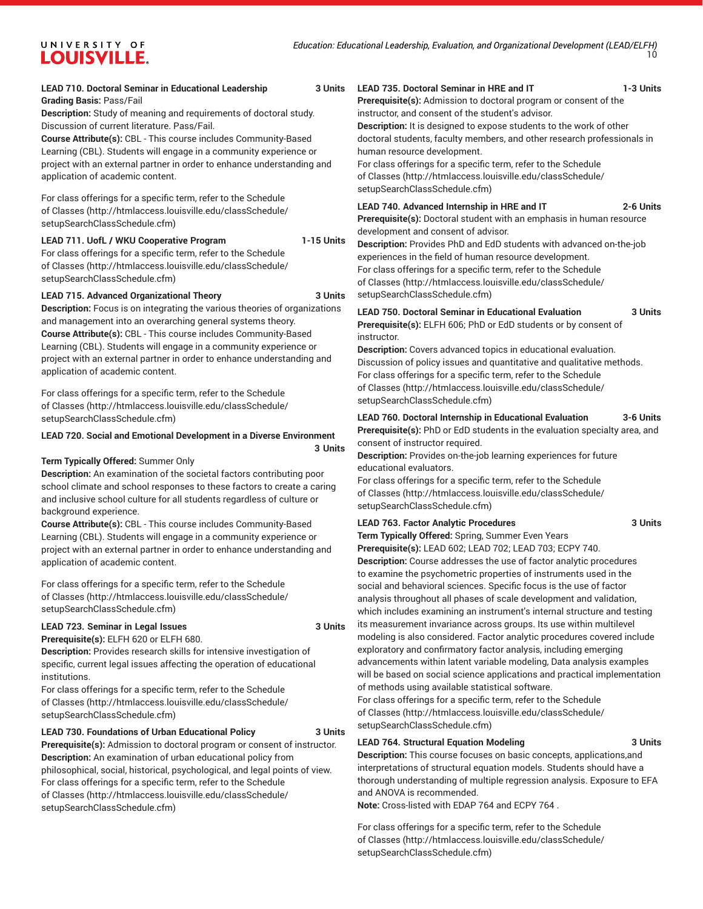### **LEAD 710. Doctoral Seminar in Educational Leadership 3 Units Grading Basis:** Pass/Fail

**Description:** Study of meaning and requirements of doctoral study. Discussion of current literature. Pass/Fail.

**Course Attribute(s):** CBL - This course includes Community-Based Learning (CBL). Students will engage in a community experience or project with an external partner in order to enhance understanding and application of academic content.

For class offerings for a specific term, refer to the [Schedule](http://htmlaccess.louisville.edu/classSchedule/setupSearchClassSchedule.cfm) [of Classes \(http://htmlaccess.louisville.edu/classSchedule/](http://htmlaccess.louisville.edu/classSchedule/setupSearchClassSchedule.cfm) [setupSearchClassSchedule.cfm\)](http://htmlaccess.louisville.edu/classSchedule/setupSearchClassSchedule.cfm)

#### **LEAD 711. UofL / WKU Cooperative Program 1-15 Units**

For class offerings for a specific term, refer to the [Schedule](http://htmlaccess.louisville.edu/classSchedule/setupSearchClassSchedule.cfm) [of Classes \(http://htmlaccess.louisville.edu/classSchedule/](http://htmlaccess.louisville.edu/classSchedule/setupSearchClassSchedule.cfm) [setupSearchClassSchedule.cfm\)](http://htmlaccess.louisville.edu/classSchedule/setupSearchClassSchedule.cfm)

#### **LEAD 715. Advanced Organizational Theory 3 Units**

**Description:** Focus is on integrating the various theories of organizations and management into an overarching general systems theory. **Course Attribute(s):** CBL - This course includes Community-Based Learning (CBL). Students will engage in a community experience or project with an external partner in order to enhance understanding and application of academic content.

For class offerings for a specific term, refer to the [Schedule](http://htmlaccess.louisville.edu/classSchedule/setupSearchClassSchedule.cfm) [of Classes \(http://htmlaccess.louisville.edu/classSchedule/](http://htmlaccess.louisville.edu/classSchedule/setupSearchClassSchedule.cfm) [setupSearchClassSchedule.cfm\)](http://htmlaccess.louisville.edu/classSchedule/setupSearchClassSchedule.cfm)

### **LEAD 720. Social and Emotional Development in a Diverse Environment**

**3 Units**

#### **Term Typically Offered:** Summer Only

**Description:** An examination of the societal factors contributing poor school climate and school responses to these factors to create a caring and inclusive school culture for all students regardless of culture or background experience.

**Course Attribute(s):** CBL - This course includes Community-Based Learning (CBL). Students will engage in a community experience or project with an external partner in order to enhance understanding and application of academic content.

For class offerings for a specific term, refer to the [Schedule](http://htmlaccess.louisville.edu/classSchedule/setupSearchClassSchedule.cfm) [of Classes \(http://htmlaccess.louisville.edu/classSchedule/](http://htmlaccess.louisville.edu/classSchedule/setupSearchClassSchedule.cfm) [setupSearchClassSchedule.cfm\)](http://htmlaccess.louisville.edu/classSchedule/setupSearchClassSchedule.cfm)

#### **LEAD 723. Seminar in Legal Issues 3 Units**

**Prerequisite(s):** ELFH 620 or ELFH 680.

**Description:** Provides research skills for intensive investigation of specific, current legal issues affecting the operation of educational institutions.

For class offerings for a specific term, refer to the [Schedule](http://htmlaccess.louisville.edu/classSchedule/setupSearchClassSchedule.cfm) [of Classes \(http://htmlaccess.louisville.edu/classSchedule/](http://htmlaccess.louisville.edu/classSchedule/setupSearchClassSchedule.cfm) [setupSearchClassSchedule.cfm\)](http://htmlaccess.louisville.edu/classSchedule/setupSearchClassSchedule.cfm)

#### **LEAD 730. Foundations of Urban Educational Policy 3 Units**

**Prerequisite(s):** Admission to doctoral program or consent of instructor. **Description:** An examination of urban educational policy from philosophical, social, historical, psychological, and legal points of view. For class offerings for a specific term, refer to the [Schedule](http://htmlaccess.louisville.edu/classSchedule/setupSearchClassSchedule.cfm) [of Classes \(http://htmlaccess.louisville.edu/classSchedule/](http://htmlaccess.louisville.edu/classSchedule/setupSearchClassSchedule.cfm) [setupSearchClassSchedule.cfm\)](http://htmlaccess.louisville.edu/classSchedule/setupSearchClassSchedule.cfm)

## **LEAD 735. Doctoral Seminar in HRE and IT 1-3 Units**

**Prerequisite(s):** Admission to doctoral program or consent of the instructor, and consent of the student's advisor.

**Description:** It is designed to expose students to the work of other doctoral students, faculty members, and other research professionals in human resource development.

For class offerings for a specific term, refer to the [Schedule](http://htmlaccess.louisville.edu/classSchedule/setupSearchClassSchedule.cfm) [of Classes](http://htmlaccess.louisville.edu/classSchedule/setupSearchClassSchedule.cfm) ([http://htmlaccess.louisville.edu/classSchedule/](http://htmlaccess.louisville.edu/classSchedule/setupSearchClassSchedule.cfm) [setupSearchClassSchedule.cfm\)](http://htmlaccess.louisville.edu/classSchedule/setupSearchClassSchedule.cfm)

#### **LEAD 740. Advanced Internship in HRE and IT 2-6 Units**

**Prerequisite(s):** Doctoral student with an emphasis in human resource development and consent of advisor.

**Description:** Provides PhD and EdD students with advanced on-the-job experiences in the field of human resource development.

For class offerings for a specific term, refer to the [Schedule](http://htmlaccess.louisville.edu/classSchedule/setupSearchClassSchedule.cfm) [of Classes](http://htmlaccess.louisville.edu/classSchedule/setupSearchClassSchedule.cfm) ([http://htmlaccess.louisville.edu/classSchedule/](http://htmlaccess.louisville.edu/classSchedule/setupSearchClassSchedule.cfm) [setupSearchClassSchedule.cfm\)](http://htmlaccess.louisville.edu/classSchedule/setupSearchClassSchedule.cfm)

# **LEAD 750. Doctoral Seminar in Educational Evaluation 3 Units**

**Prerequisite(s):** ELFH 606; PhD or EdD students or by consent of instructor.

**Description:** Covers advanced topics in educational evaluation. Discussion of policy issues and quantitative and qualitative methods. For class offerings for a specific term, refer to the [Schedule](http://htmlaccess.louisville.edu/classSchedule/setupSearchClassSchedule.cfm) [of Classes](http://htmlaccess.louisville.edu/classSchedule/setupSearchClassSchedule.cfm) ([http://htmlaccess.louisville.edu/classSchedule/](http://htmlaccess.louisville.edu/classSchedule/setupSearchClassSchedule.cfm) [setupSearchClassSchedule.cfm\)](http://htmlaccess.louisville.edu/classSchedule/setupSearchClassSchedule.cfm)

### **LEAD 760. Doctoral Internship in Educational Evaluation 3-6 Units**

**Prerequisite(s):** PhD or EdD students in the evaluation specialty area, and consent of instructor required.

**Description:** Provides on-the-job learning experiences for future educational evaluators.

For class offerings for a specific term, refer to the [Schedule](http://htmlaccess.louisville.edu/classSchedule/setupSearchClassSchedule.cfm) [of Classes](http://htmlaccess.louisville.edu/classSchedule/setupSearchClassSchedule.cfm) ([http://htmlaccess.louisville.edu/classSchedule/](http://htmlaccess.louisville.edu/classSchedule/setupSearchClassSchedule.cfm) [setupSearchClassSchedule.cfm\)](http://htmlaccess.louisville.edu/classSchedule/setupSearchClassSchedule.cfm)

### **LEAD 763. Factor Analytic Procedures 3 Units**

**Term Typically Offered:** Spring, Summer Even Years **Prerequisite(s):** LEAD 602; LEAD 702; LEAD 703; ECPY 740. **Description:** Course addresses the use of factor analytic procedures to examine the psychometric properties of instruments used in the social and behavioral sciences. Specific focus is the use of factor analysis throughout all phases of scale development and validation, which includes examining an instrument's internal structure and testing its measurement invariance across groups. Its use within multilevel modeling is also considered. Factor analytic procedures covered include exploratory and confirmatory factor analysis, including emerging advancements within latent variable modeling, Data analysis examples will be based on social science applications and practical implementation of methods using available statistical software.

For class offerings for a specific term, refer to the [Schedule](http://htmlaccess.louisville.edu/classSchedule/setupSearchClassSchedule.cfm) [of Classes](http://htmlaccess.louisville.edu/classSchedule/setupSearchClassSchedule.cfm) ([http://htmlaccess.louisville.edu/classSchedule/](http://htmlaccess.louisville.edu/classSchedule/setupSearchClassSchedule.cfm) [setupSearchClassSchedule.cfm\)](http://htmlaccess.louisville.edu/classSchedule/setupSearchClassSchedule.cfm)

#### **LEAD 764. Structural Equation Modeling 3 Units**

**Description:** This course focuses on basic concepts, applications,and interpretations of structural equation models. Students should have a thorough understanding of multiple regression analysis. Exposure to EFA and ANOVA is recommended.

**Note:** Cross-listed with EDAP 764 and ECPY 764 .